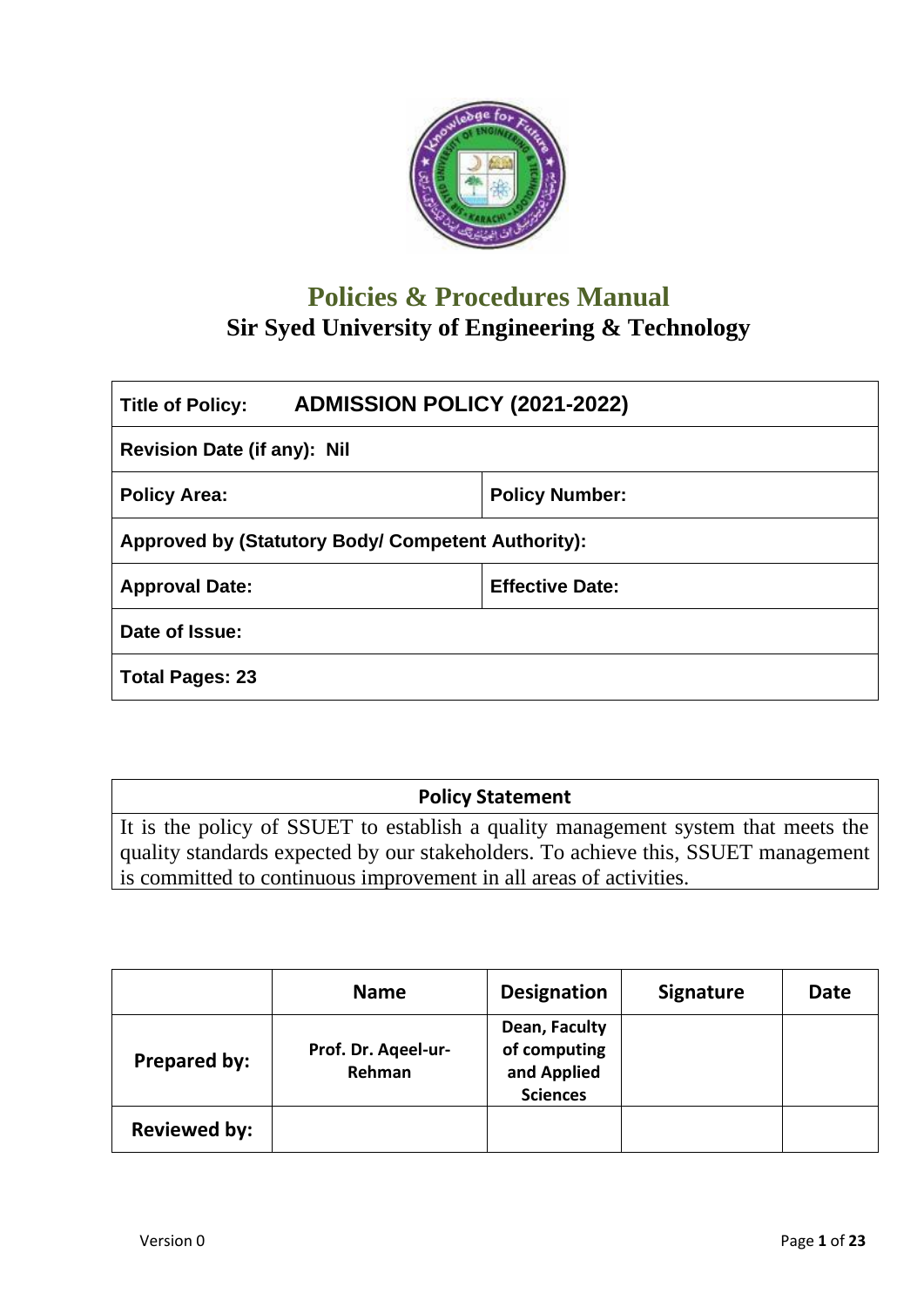

# **Policies & Procedures Manual Sir Syed University of Engineering & Technology**

| <b>ADMISSION POLICY (2021-2022)</b><br><b>Title of Policy:</b> |  |  |  |  |  |
|----------------------------------------------------------------|--|--|--|--|--|
| Revision Date (if any): Nil                                    |  |  |  |  |  |
| <b>Policy Number:</b><br><b>Policy Area:</b>                   |  |  |  |  |  |
| <b>Approved by (Statutory Body/ Competent Authority):</b>      |  |  |  |  |  |
| <b>Effective Date:</b><br><b>Approval Date:</b>                |  |  |  |  |  |
| Date of Issue:                                                 |  |  |  |  |  |
| <b>Total Pages: 23</b>                                         |  |  |  |  |  |

## **Policy Statement**

It is the policy of SSUET to establish a quality management system that meets the quality standards expected by our stakeholders. To achieve this, SSUET management is committed to continuous improvement in all areas of activities.

|                     | <b>Name</b>                   | <b>Designation</b>                                              | <b>Signature</b> | <b>Date</b> |
|---------------------|-------------------------------|-----------------------------------------------------------------|------------------|-------------|
| <b>Prepared by:</b> | Prof. Dr. Ageel-ur-<br>Rehman | Dean, Faculty<br>of computing<br>and Applied<br><b>Sciences</b> |                  |             |
| <b>Reviewed by:</b> |                               |                                                                 |                  |             |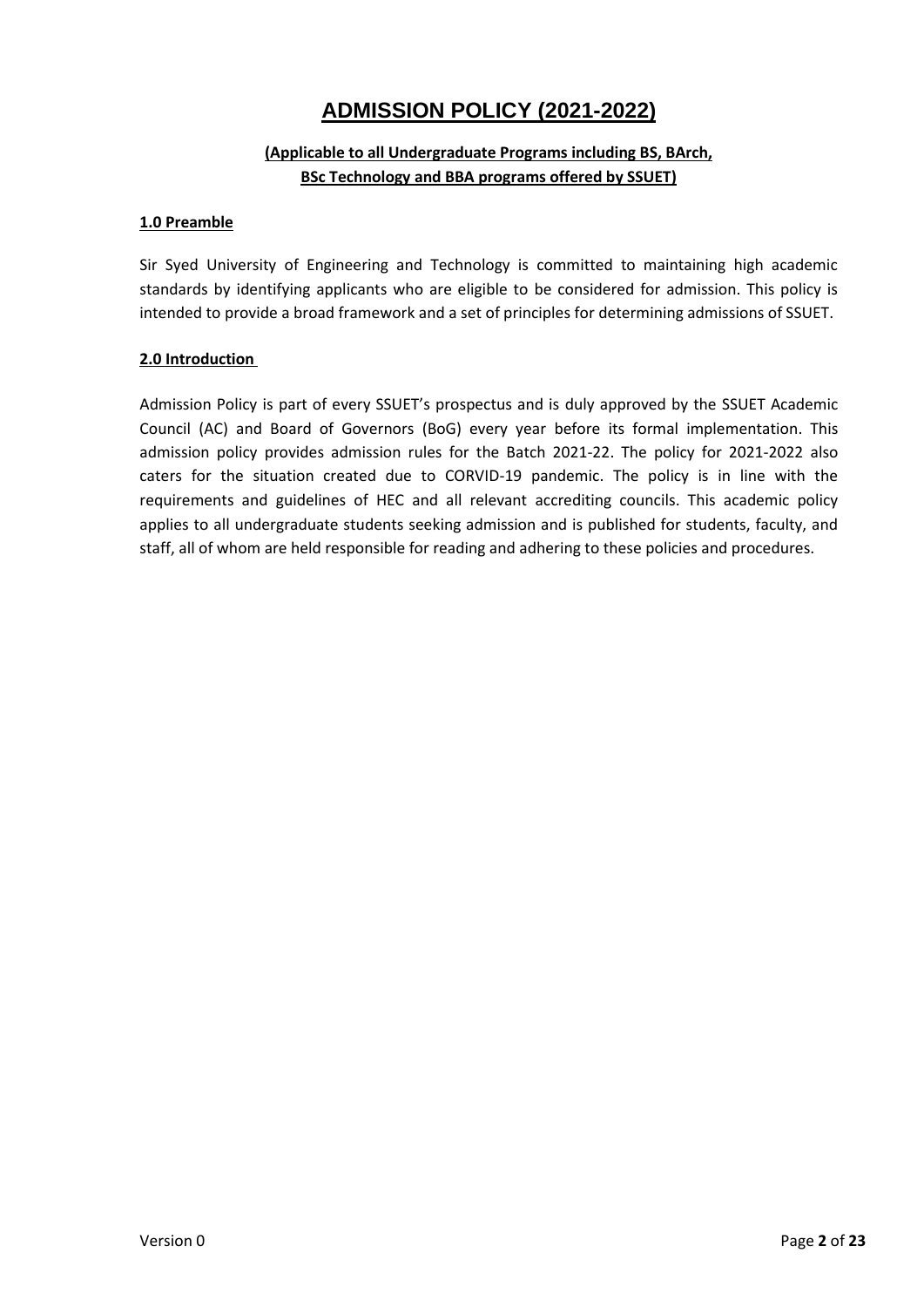## **ADMISSION POLICY (2021-2022)**

## **(Applicable to all Undergraduate Programs including BS, BArch, BSc Technology and BBA programs offered by SSUET)**

#### **1.0 Preamble**

Sir Syed University of Engineering and Technology is committed to maintaining high academic standards by identifying applicants who are eligible to be considered for admission. This policy is intended to provide a broad framework and a set of principles for determining admissions of SSUET.

#### **2.0 Introduction**

Admission Policy is part of every SSUET's prospectus and is duly approved by the SSUET Academic Council (AC) and Board of Governors (BoG) every year before its formal implementation. This admission policy provides admission rules for the Batch 2021-22. The policy for 2021-2022 also caters for the situation created due to CORVID-19 pandemic. The policy is in line with the requirements and guidelines of HEC and all relevant accrediting councils. This academic policy applies to all undergraduate students seeking admission and is published for students, faculty, and staff, all of whom are held responsible for reading and adhering to these policies and procedures.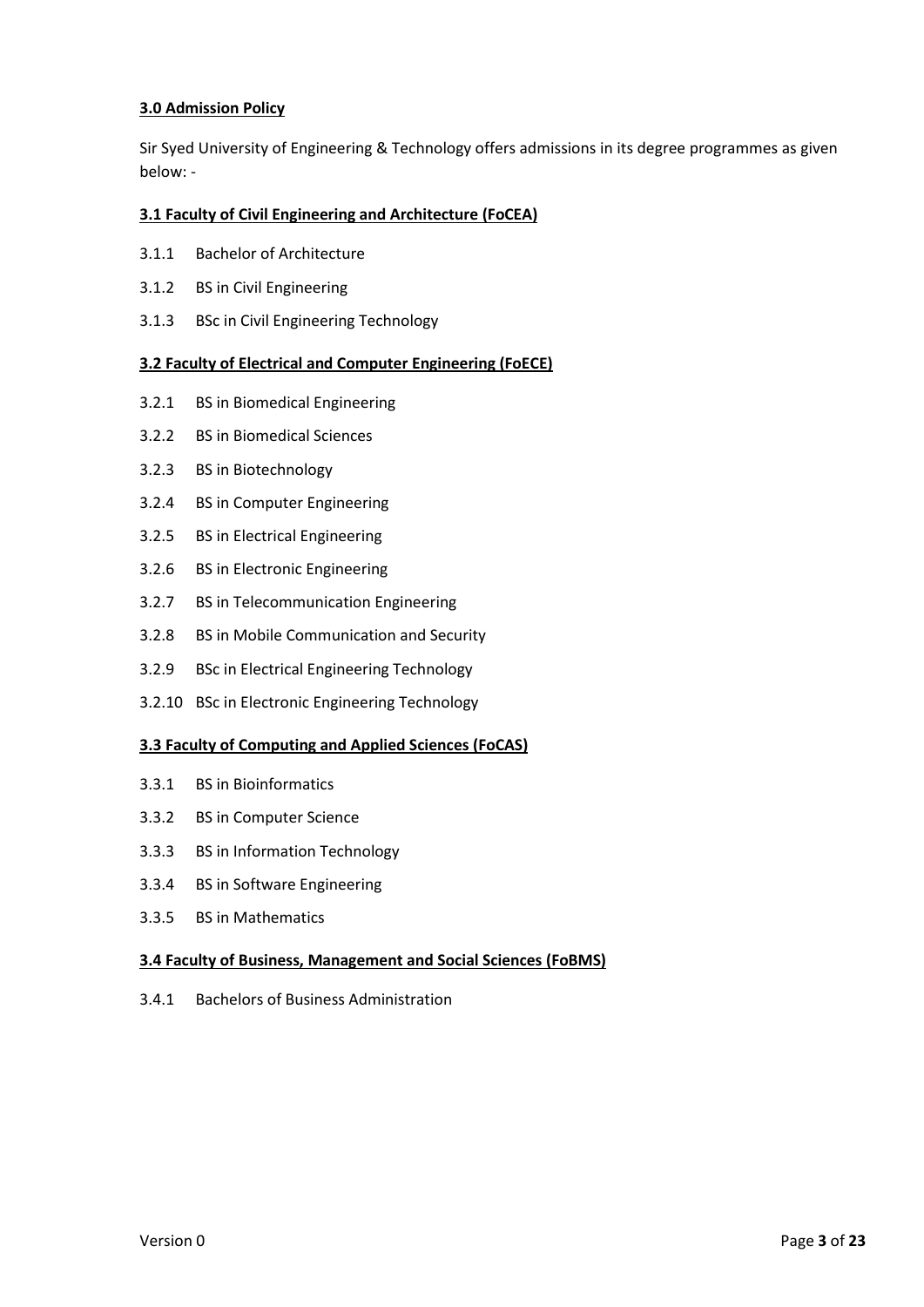#### **3.0 Admission Policy**

Sir Syed University of Engineering & Technology offers admissions in its degree programmes as given below: -

#### **3.1 Faculty of Civil Engineering and Architecture (FoCEA)**

- 3.1.1 Bachelor of Architecture
- 3.1.2 BS in Civil Engineering
- 3.1.3 BSc in Civil Engineering Technology

#### **3.2 Faculty of Electrical and Computer Engineering (FoECE)**

- 3.2.1 BS in Biomedical Engineering
- 3.2.2 BS in Biomedical Sciences
- 3.2.3 BS in Biotechnology
- 3.2.4 BS in Computer Engineering
- 3.2.5 BS in Electrical Engineering
- 3.2.6 BS in Electronic Engineering
- 3.2.7 BS in Telecommunication Engineering
- 3.2.8 BS in Mobile Communication and Security
- 3.2.9 BSc in Electrical Engineering Technology
- 3.2.10 BSc in Electronic Engineering Technology

#### **3.3 Faculty of Computing and Applied Sciences (FoCAS)**

- 3.3.1 BS in Bioinformatics
- 3.3.2 BS in Computer Science
- 3.3.3 BS in Information Technology
- 3.3.4 BS in Software Engineering
- 3.3.5 BS in Mathematics

#### **3.4 Faculty of Business, Management and Social Sciences (FoBMS)**

3.4.1 Bachelors of Business Administration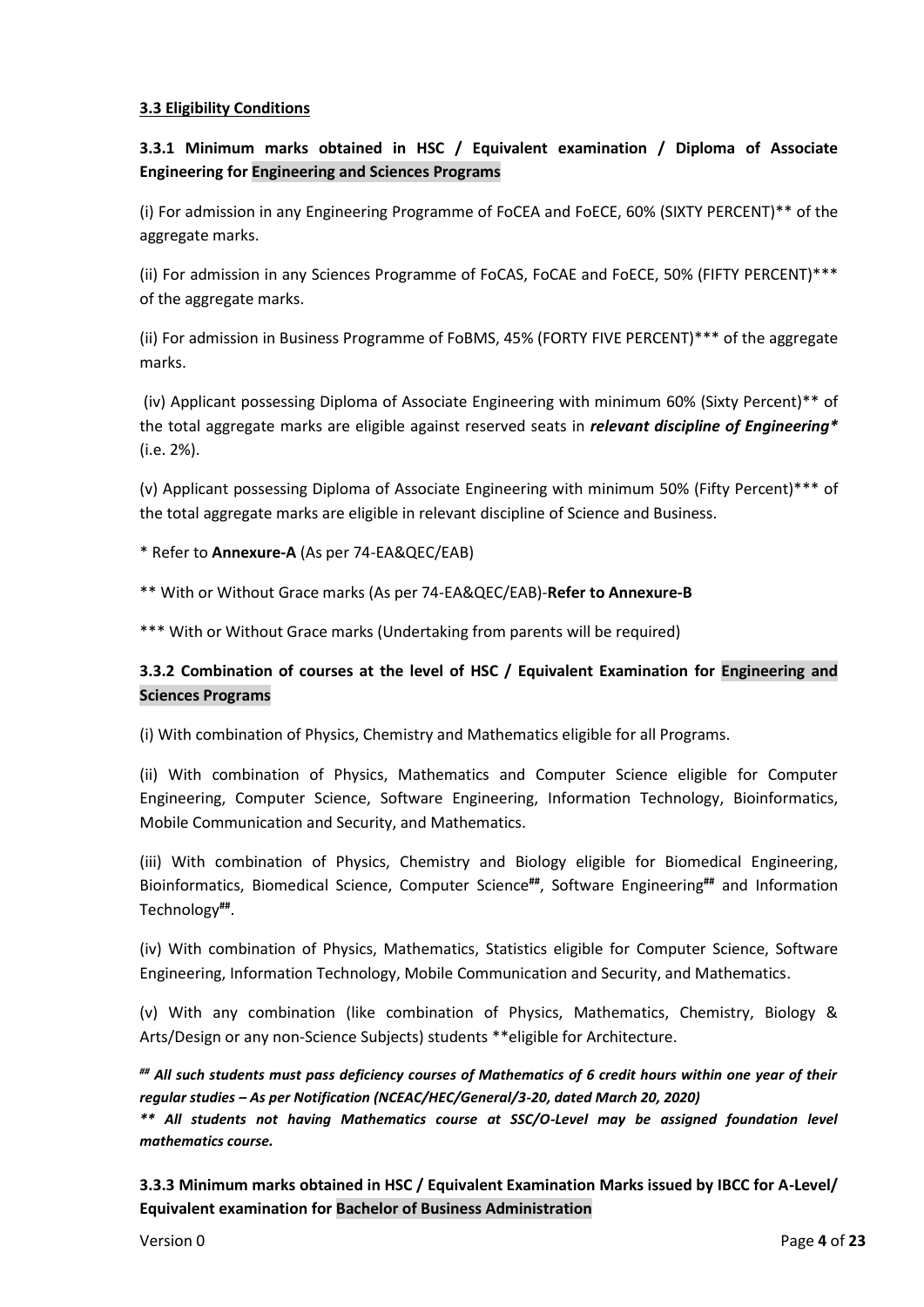#### **3.3 Eligibility Conditions**

## **3.3.1 Minimum marks obtained in HSC / Equivalent examination / Diploma of Associate Engineering for Engineering and Sciences Programs**

(i) For admission in any Engineering Programme of FoCEA and FoECE, 60% (SIXTY PERCENT)\*\* of the aggregate marks.

(ii) For admission in any Sciences Programme of FoCAS, FoCAE and FoECE, 50% (FIFTY PERCENT)\*\*\* of the aggregate marks.

(ii) For admission in Business Programme of FoBMS, 45% (FORTY FIVE PERCENT)\*\*\* of the aggregate marks.

(iv) Applicant possessing Diploma of Associate Engineering with minimum 60% (Sixty Percent)\*\* of the total aggregate marks are eligible against reserved seats in *relevant discipline of Engineering\** (i.e. 2%).

(v) Applicant possessing Diploma of Associate Engineering with minimum 50% (Fifty Percent)\*\*\* of the total aggregate marks are eligible in relevant discipline of Science and Business.

#### \* Refer to **Annexure-A** (As per 74-EA&QEC/EAB)

\*\* With or Without Grace marks (As per 74-EA&QEC/EAB)-**Refer to Annexure-B**

\*\*\* With or Without Grace marks (Undertaking from parents will be required)

## **3.3.2 Combination of courses at the level of HSC / Equivalent Examination for Engineering and Sciences Programs**

(i) With combination of Physics, Chemistry and Mathematics eligible for all Programs.

(ii) With combination of Physics, Mathematics and Computer Science eligible for Computer Engineering, Computer Science, Software Engineering, Information Technology, Bioinformatics, Mobile Communication and Security, and Mathematics.

(iii) With combination of Physics, Chemistry and Biology eligible for Biomedical Engineering, Bioinformatics, Biomedical Science, Computer Science**##**, Software Engineering**##** and Information Technology**##** .

(iv) With combination of Physics, Mathematics, Statistics eligible for Computer Science, Software Engineering, Information Technology, Mobile Communication and Security, and Mathematics.

(v) With any combination (like combination of Physics, Mathematics, Chemistry, Biology & Arts/Design or any non-Science Subjects) students \*\*eligible for Architecture.

*## All such students must pass deficiency courses of Mathematics of 6 credit hours within one year of their regular studies – As per Notification (NCEAC/HEC/General/3-20, dated March 20, 2020)*

*\*\* All students not having Mathematics course at SSC/O-Level may be assigned foundation level mathematics course.*

**3.3.3 Minimum marks obtained in HSC / Equivalent Examination Marks issued by IBCC for A-Level/ Equivalent examination for Bachelor of Business Administration**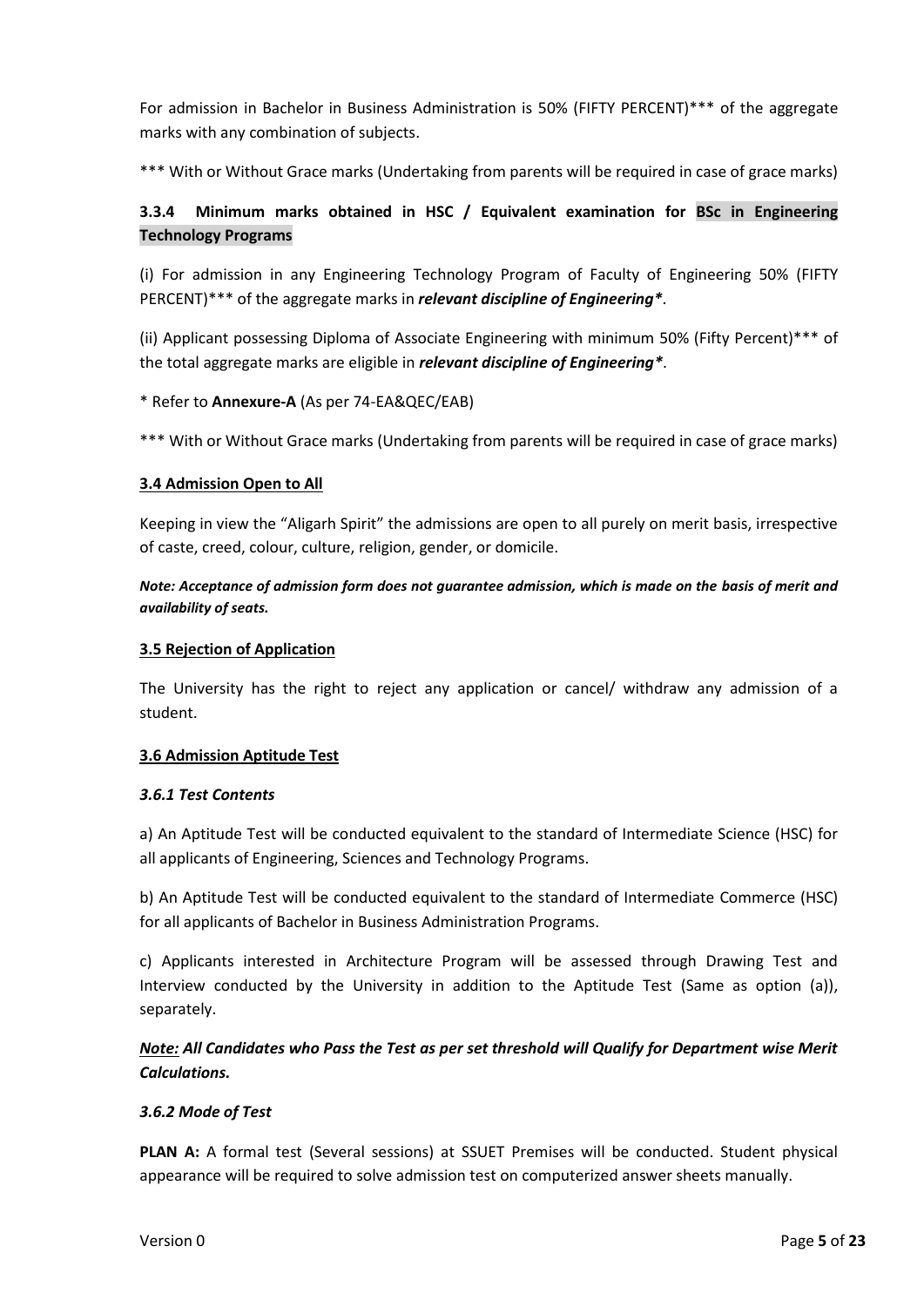For admission in Bachelor in Business Administration is 50% (FIFTY PERCENT)\*\*\* of the aggregate marks with any combination of subjects.

\*\*\* With or Without Grace marks (Undertaking from parents will be required in case of grace marks)

## **3.3.4 Minimum marks obtained in HSC / Equivalent examination for BSc in Engineering Technology Programs**

(i) For admission in any Engineering Technology Program of Faculty of Engineering 50% (FIFTY PERCENT)\*\*\* of the aggregate marks in *relevant discipline of Engineering\**.

(ii) Applicant possessing Diploma of Associate Engineering with minimum 50% (Fifty Percent)\*\*\* of the total aggregate marks are eligible in *relevant discipline of Engineering\**.

\* Refer to **Annexure-A** (As per 74-EA&QEC/EAB)

\*\*\* With or Without Grace marks (Undertaking from parents will be required in case of grace marks)

#### **3.4 Admission Open to All**

Keeping in view the "Aligarh Spirit" the admissions are open to all purely on merit basis, irrespective of caste, creed, colour, culture, religion, gender, or domicile.

*Note: Acceptance of admission form does not guarantee admission, which is made on the basis of merit and availability of seats.*

#### **3.5 Rejection of Application**

The University has the right to reject any application or cancel/ withdraw any admission of a student.

#### **3.6 Admission Aptitude Test**

#### *3.6.1 Test Contents*

a) An Aptitude Test will be conducted equivalent to the standard of Intermediate Science (HSC) for all applicants of Engineering, Sciences and Technology Programs.

b) An Aptitude Test will be conducted equivalent to the standard of Intermediate Commerce (HSC) for all applicants of Bachelor in Business Administration Programs.

c) Applicants interested in Architecture Program will be assessed through Drawing Test and Interview conducted by the University in addition to the Aptitude Test (Same as option (a)), separately.

## *Note: All Candidates who Pass the Test as per set threshold will Qualify for Department wise Merit Calculations.*

## *3.6.2 Mode of Test*

**PLAN A:** A formal test (Several sessions) at SSUET Premises will be conducted. Student physical appearance will be required to solve admission test on computerized answer sheets manually.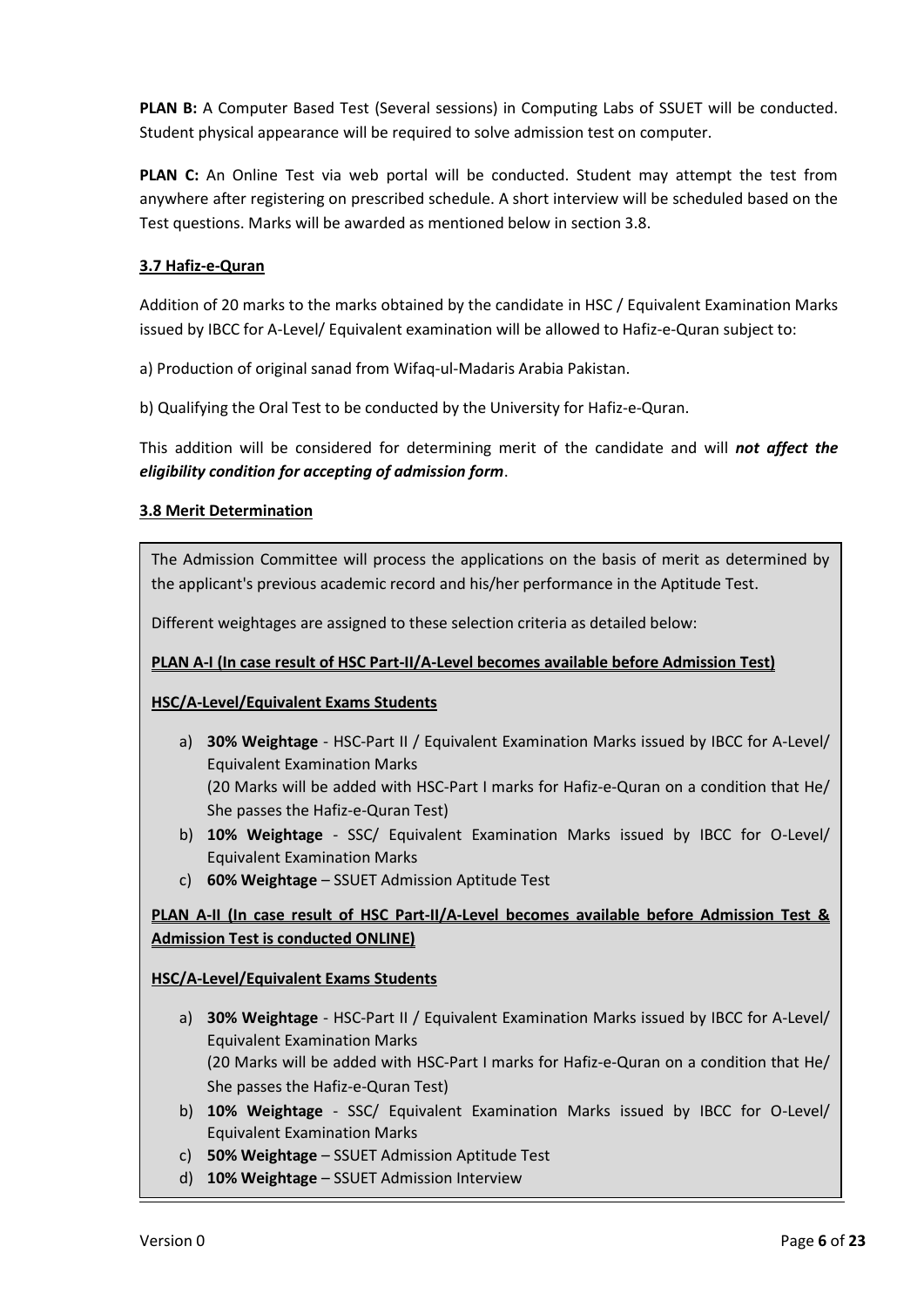**PLAN B:** A Computer Based Test (Several sessions) in Computing Labs of SSUET will be conducted. Student physical appearance will be required to solve admission test on computer.

**PLAN C:** An Online Test via web portal will be conducted. Student may attempt the test from anywhere after registering on prescribed schedule. A short interview will be scheduled based on the Test questions. Marks will be awarded as mentioned below in section 3.8.

#### **3.7 Hafiz-e-Quran**

Addition of 20 marks to the marks obtained by the candidate in HSC / Equivalent Examination Marks issued by IBCC for A-Level/ Equivalent examination will be allowed to Hafiz-e-Quran subject to:

a) Production of original sanad from Wifaq-ul-Madaris Arabia Pakistan.

b) Qualifying the Oral Test to be conducted by the University for Hafiz-e-Quran.

This addition will be considered for determining merit of the candidate and will *not affect the eligibility condition for accepting of admission form*.

#### **3.8 Merit Determination**

The Admission Committee will process the applications on the basis of merit as determined by the applicant's previous academic record and his/her performance in the Aptitude Test.

Different weightages are assigned to these selection criteria as detailed below:

#### **PLAN A-I (In case result of HSC Part-II/A-Level becomes available before Admission Test)**

#### **HSC/A-Level/Equivalent Exams Students**

- a) **30% Weightage** HSC-Part II / Equivalent Examination Marks issued by IBCC for A-Level/ Equivalent Examination Marks (20 Marks will be added with HSC-Part I marks for Hafiz-e-Quran on a condition that He/ She passes the Hafiz-e-Quran Test)
- b) **10% Weightage** SSC/ Equivalent Examination Marks issued by IBCC for O-Level/ Equivalent Examination Marks
- c) **60% Weightage** SSUET Admission Aptitude Test

## **PLAN A-II (In case result of HSC Part-II/A-Level becomes available before Admission Test & Admission Test is conducted ONLINE)**

## **HSC/A-Level/Equivalent Exams Students**

- a) **30% Weightage** HSC-Part II / Equivalent Examination Marks issued by IBCC for A-Level/ Equivalent Examination Marks (20 Marks will be added with HSC-Part I marks for Hafiz-e-Quran on a condition that He/ She passes the Hafiz-e-Quran Test)
- b) **10% Weightage** SSC/ Equivalent Examination Marks issued by IBCC for O-Level/ Equivalent Examination Marks
- c) **50% Weightage** SSUET Admission Aptitude Test
- d) **10% Weightage** SSUET Admission Interview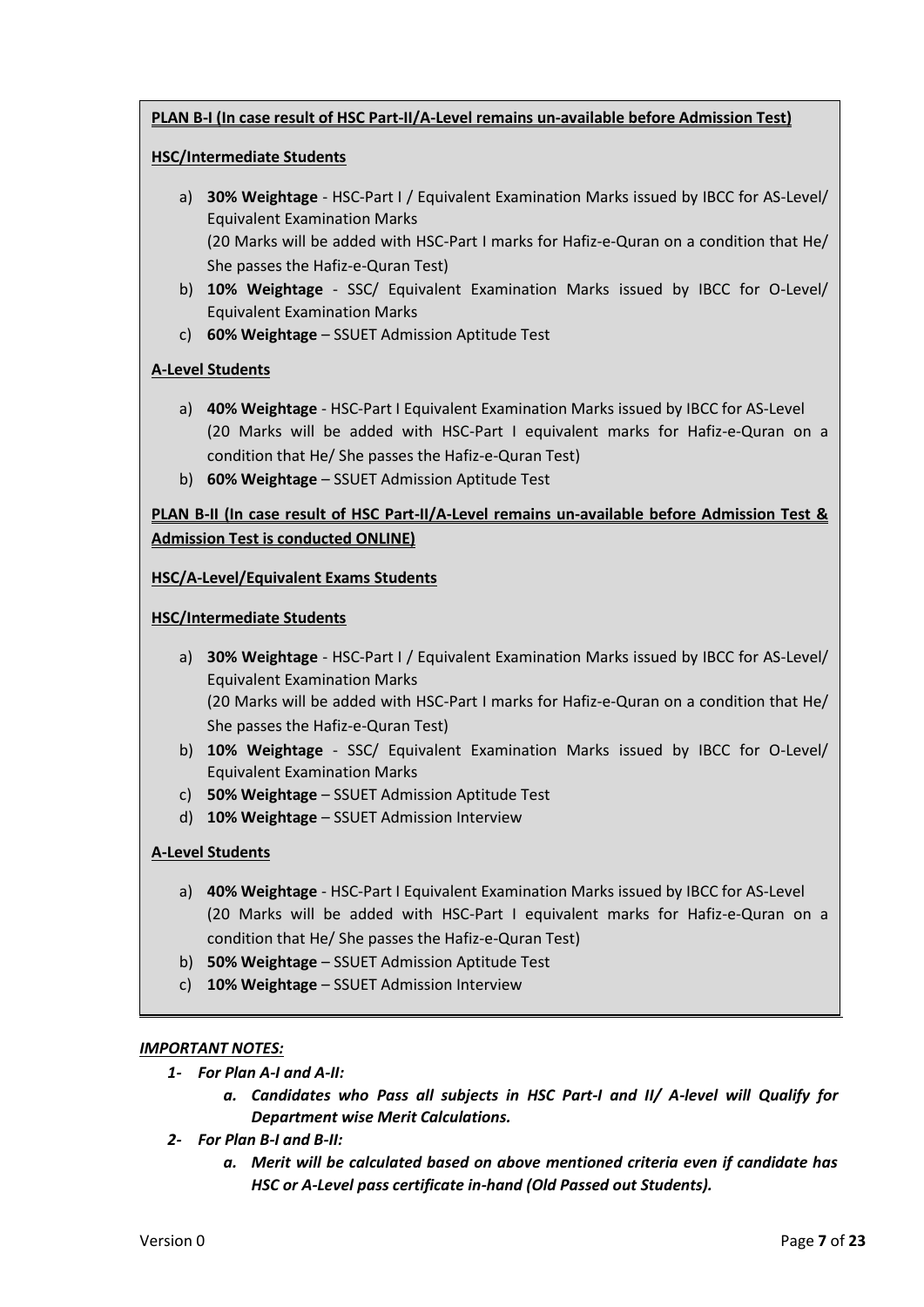## **PLAN B-I (In case result of HSC Part-II/A-Level remains un-available before Admission Test)**

## **HSC/Intermediate Students**

- a) **30% Weightage** HSC-Part I / Equivalent Examination Marks issued by IBCC for AS-Level/ Equivalent Examination Marks (20 Marks will be added with HSC-Part I marks for Hafiz-e-Quran on a condition that He/ She passes the Hafiz-e-Quran Test)
- b) **10% Weightage** SSC/ Equivalent Examination Marks issued by IBCC for O-Level/ Equivalent Examination Marks
- c) **60% Weightage** SSUET Admission Aptitude Test

## **A-Level Students**

- a) **40% Weightage** HSC-Part I Equivalent Examination Marks issued by IBCC for AS-Level (20 Marks will be added with HSC-Part I equivalent marks for Hafiz-e-Quran on a condition that He/ She passes the Hafiz-e-Quran Test)
- b) **60% Weightage** SSUET Admission Aptitude Test

## **PLAN B-II (In case result of HSC Part-II/A-Level remains un-available before Admission Test & Admission Test is conducted ONLINE)**

## **HSC/A-Level/Equivalent Exams Students**

#### **HSC/Intermediate Students**

a) **30% Weightage** - HSC-Part I / Equivalent Examination Marks issued by IBCC for AS-Level/ Equivalent Examination Marks

(20 Marks will be added with HSC-Part I marks for Hafiz-e-Quran on a condition that He/ She passes the Hafiz-e-Quran Test)

- b) **10% Weightage** SSC/ Equivalent Examination Marks issued by IBCC for O-Level/ Equivalent Examination Marks
- c) **50% Weightage** SSUET Admission Aptitude Test
- d) **10% Weightage** SSUET Admission Interview

## **A-Level Students**

- a) **40% Weightage** HSC-Part I Equivalent Examination Marks issued by IBCC for AS-Level (20 Marks will be added with HSC-Part I equivalent marks for Hafiz-e-Quran on a condition that He/ She passes the Hafiz-e-Quran Test)
- b) **50% Weightage** SSUET Admission Aptitude Test
- c) **10% Weightage** SSUET Admission Interview

## *IMPORTANT NOTES:*

- *1- For Plan A-I and A-II:*
	- *a. Candidates who Pass all subjects in HSC Part-I and II/ A-level will Qualify for Department wise Merit Calculations.*
- *2- For Plan B-I and B-II:*
	- *a. Merit will be calculated based on above mentioned criteria even if candidate has HSC or A-Level pass certificate in-hand (Old Passed out Students).*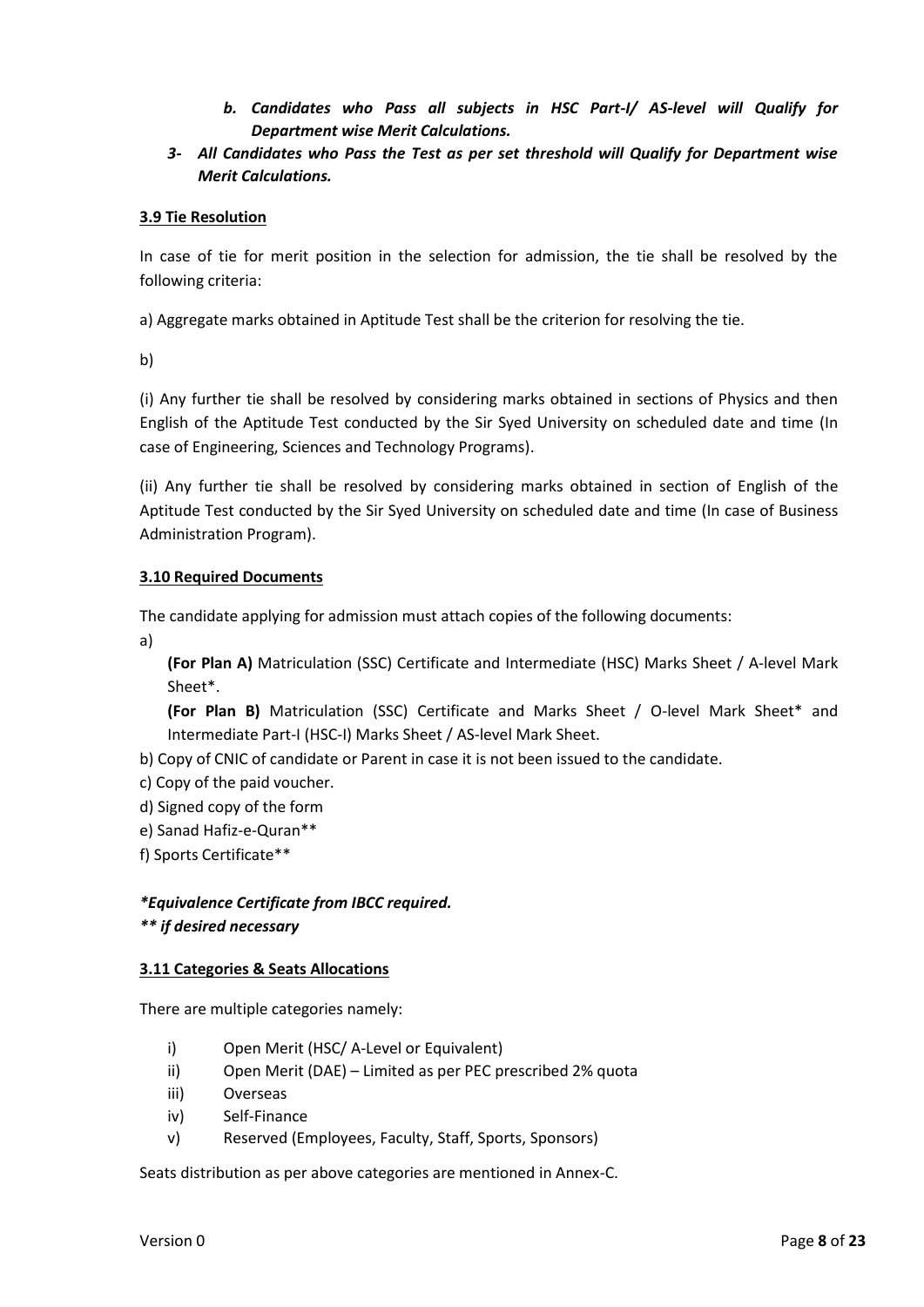- *b. Candidates who Pass all subjects in HSC Part-I/ AS-level will Qualify for Department wise Merit Calculations.*
- *3- All Candidates who Pass the Test as per set threshold will Qualify for Department wise Merit Calculations.*

## **3.9 Tie Resolution**

In case of tie for merit position in the selection for admission, the tie shall be resolved by the following criteria:

a) Aggregate marks obtained in Aptitude Test shall be the criterion for resolving the tie.

b)

(i) Any further tie shall be resolved by considering marks obtained in sections of Physics and then English of the Aptitude Test conducted by the Sir Syed University on scheduled date and time (In case of Engineering, Sciences and Technology Programs).

(ii) Any further tie shall be resolved by considering marks obtained in section of English of the Aptitude Test conducted by the Sir Syed University on scheduled date and time (In case of Business Administration Program).

#### **3.10 Required Documents**

The candidate applying for admission must attach copies of the following documents:

a)

**(For Plan A)** Matriculation (SSC) Certificate and Intermediate (HSC) Marks Sheet / A-level Mark Sheet\*.

**(For Plan B)** Matriculation (SSC) Certificate and Marks Sheet / O-level Mark Sheet\* and Intermediate Part-I (HSC-I) Marks Sheet / AS-level Mark Sheet.

b) Copy of CNIC of candidate or Parent in case it is not been issued to the candidate.

- c) Copy of the paid voucher.
- d) Signed copy of the form
- e) Sanad Hafiz-e-Quran\*\*
- f) Sports Certificate\*\*

*\*Equivalence Certificate from IBCC required.*

## *\*\* if desired necessary*

#### **3.11 Categories & Seats Allocations**

There are multiple categories namely:

- i) Open Merit (HSC/ A-Level or Equivalent)
- ii) Open Merit (DAE) Limited as per PEC prescribed 2% quota
- iii) Overseas
- iv) Self-Finance
- v) Reserved (Employees, Faculty, Staff, Sports, Sponsors)

Seats distribution as per above categories are mentioned in Annex-C.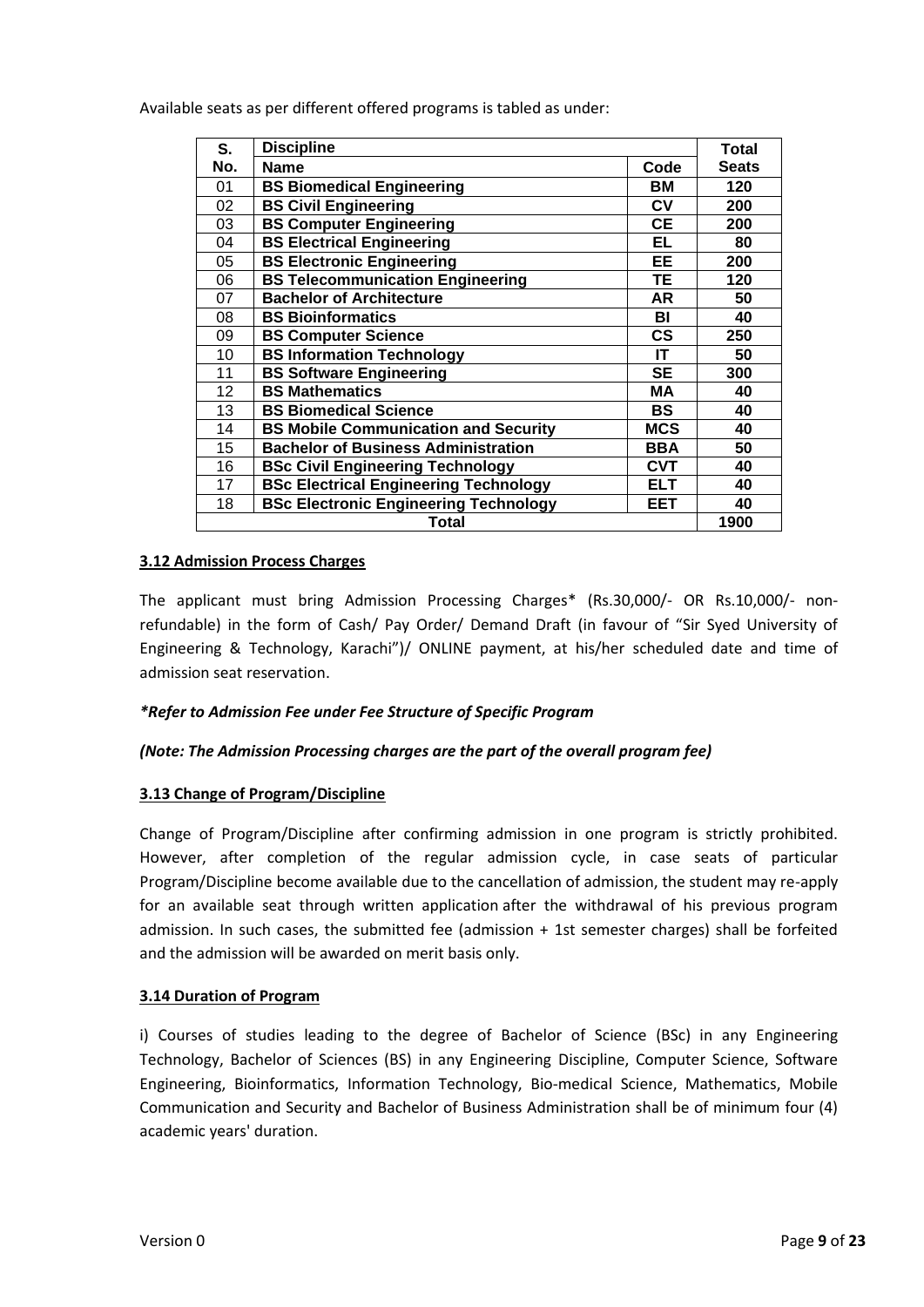Available seats as per different offered programs is tabled as under:

| S.  | <b>Discipline</b>                            |               | Total        |
|-----|----------------------------------------------|---------------|--------------|
| No. | <b>Name</b>                                  | Code          | <b>Seats</b> |
| 01  | <b>BS Biomedical Engineering</b>             | BМ            | 120          |
| 02  | <b>BS Civil Engineering</b>                  | CV            | 200          |
| 03  | <b>BS Computer Engineering</b>               | <b>CE</b>     | 200          |
| 04  | <b>BS Electrical Engineering</b>             | EL            | 80           |
| 05  | <b>BS Electronic Engineering</b>             | EE            | 200          |
| 06  | <b>BS Telecommunication Engineering</b>      | TЕ            | 120          |
| 07  | <b>Bachelor of Architecture</b>              | <b>AR</b>     | 50           |
| 08  | <b>BS Bioinformatics</b>                     | BI            | 40           |
| 09  | <b>BS Computer Science</b>                   | $\mathsf{cs}$ | 250          |
| 10  | <b>BS Information Technology</b>             | IT            | 50           |
| 11  | <b>BS Software Engineering</b>               | SE            | 300          |
| 12  | <b>BS Mathematics</b>                        | MА            | 40           |
| 13  | <b>BS Biomedical Science</b>                 | <b>BS</b>     | 40           |
| 14  | <b>BS Mobile Communication and Security</b>  | <b>MCS</b>    | 40           |
| 15  | <b>Bachelor of Business Administration</b>   | <b>BBA</b>    | 50           |
| 16  | <b>BSc Civil Engineering Technology</b>      | <b>CVT</b>    | 40           |
| 17  | <b>BSc Electrical Engineering Technology</b> | ELT           | 40           |
| 18  | <b>BSc Electronic Engineering Technology</b> | EET           | 40           |
|     | Total                                        |               | 1900         |

#### **3.12 Admission Process Charges**

The applicant must bring Admission Processing Charges\* (Rs.30,000/- OR Rs.10,000/- nonrefundable) in the form of Cash/ Pay Order/ Demand Draft (in favour of "Sir Syed University of Engineering & Technology, Karachi")/ ONLINE payment, at his/her scheduled date and time of admission seat reservation.

#### *\*Refer to Admission Fee under Fee Structure of Specific Program*

#### *(Note: The Admission Processing charges are the part of the overall program fee)*

#### **3.13 Change of Program/Discipline**

Change of Program/Discipline after confirming admission in one program is strictly prohibited. However, after completion of the regular admission cycle, in case seats of particular Program/Discipline become available due to the cancellation of admission, the student may re-apply for an available seat through written application after the withdrawal of his previous program admission. In such cases, the submitted fee (admission + 1st semester charges) shall be forfeited and the admission will be awarded on merit basis only.

#### **3.14 Duration of Program**

i) Courses of studies leading to the degree of Bachelor of Science (BSc) in any Engineering Technology, Bachelor of Sciences (BS) in any Engineering Discipline, Computer Science, Software Engineering, Bioinformatics, Information Technology, Bio-medical Science, Mathematics, Mobile Communication and Security and Bachelor of Business Administration shall be of minimum four (4) academic years' duration.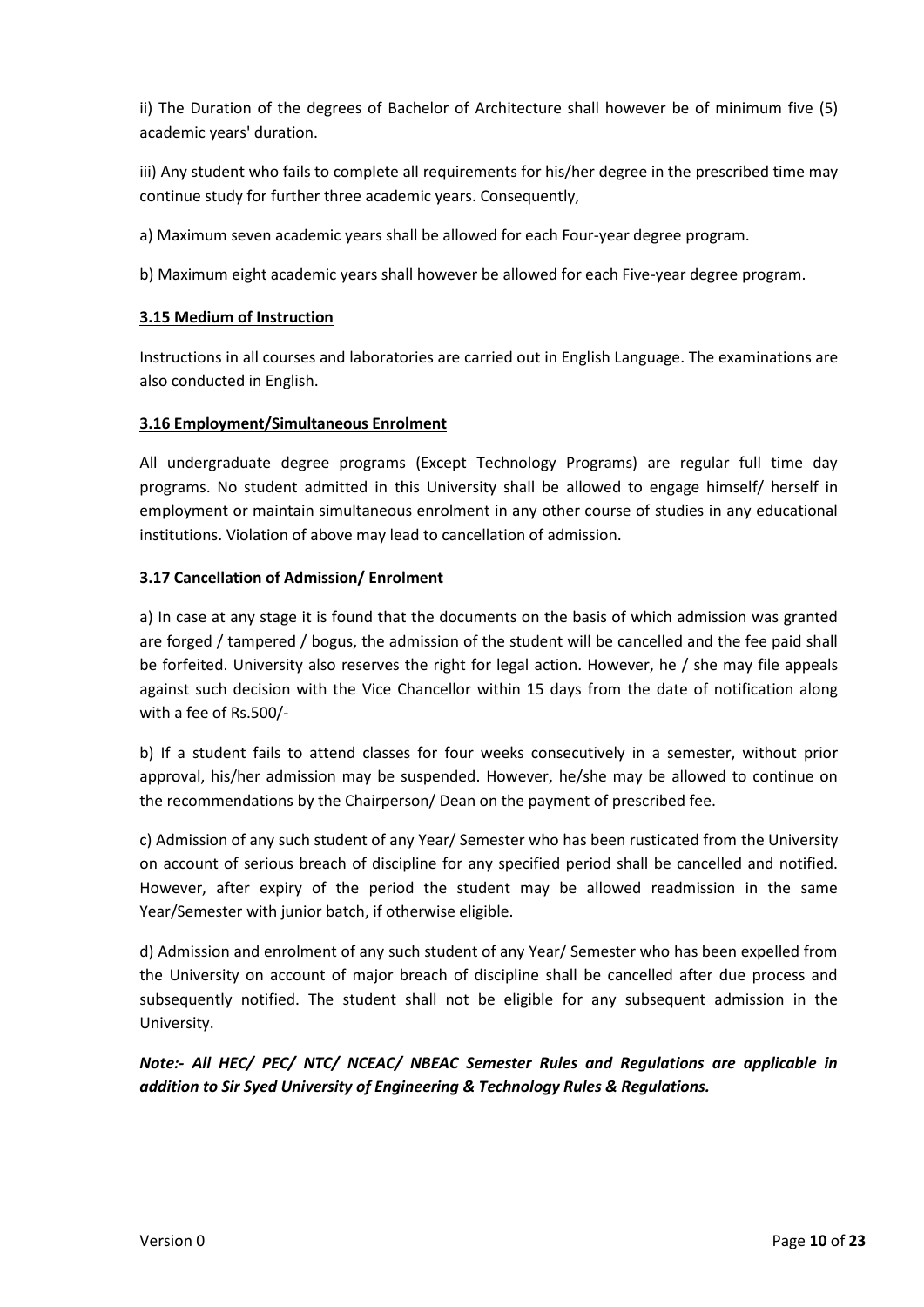ii) The Duration of the degrees of Bachelor of Architecture shall however be of minimum five (5) academic years' duration.

iii) Any student who fails to complete all requirements for his/her degree in the prescribed time may continue study for further three academic years. Consequently,

a) Maximum seven academic years shall be allowed for each Four-year degree program.

b) Maximum eight academic years shall however be allowed for each Five-year degree program.

## **3.15 Medium of Instruction**

Instructions in all courses and laboratories are carried out in English Language. The examinations are also conducted in English.

## **3.16 Employment/Simultaneous Enrolment**

All undergraduate degree programs (Except Technology Programs) are regular full time day programs. No student admitted in this University shall be allowed to engage himself/ herself in employment or maintain simultaneous enrolment in any other course of studies in any educational institutions. Violation of above may lead to cancellation of admission.

## **3.17 Cancellation of Admission/ Enrolment**

a) In case at any stage it is found that the documents on the basis of which admission was granted are forged / tampered / bogus, the admission of the student will be cancelled and the fee paid shall be forfeited. University also reserves the right for legal action. However, he / she may file appeals against such decision with the Vice Chancellor within 15 days from the date of notification along with a fee of Rs.500/-

b) If a student fails to attend classes for four weeks consecutively in a semester, without prior approval, his/her admission may be suspended. However, he/she may be allowed to continue on the recommendations by the Chairperson/ Dean on the payment of prescribed fee.

c) Admission of any such student of any Year/ Semester who has been rusticated from the University on account of serious breach of discipline for any specified period shall be cancelled and notified. However, after expiry of the period the student may be allowed readmission in the same Year/Semester with junior batch, if otherwise eligible.

d) Admission and enrolment of any such student of any Year/ Semester who has been expelled from the University on account of major breach of discipline shall be cancelled after due process and subsequently notified. The student shall not be eligible for any subsequent admission in the University.

*Note:- All HEC/ PEC/ NTC/ NCEAC/ NBEAC Semester Rules and Regulations are applicable in addition to Sir Syed University of Engineering & Technology Rules & Regulations.*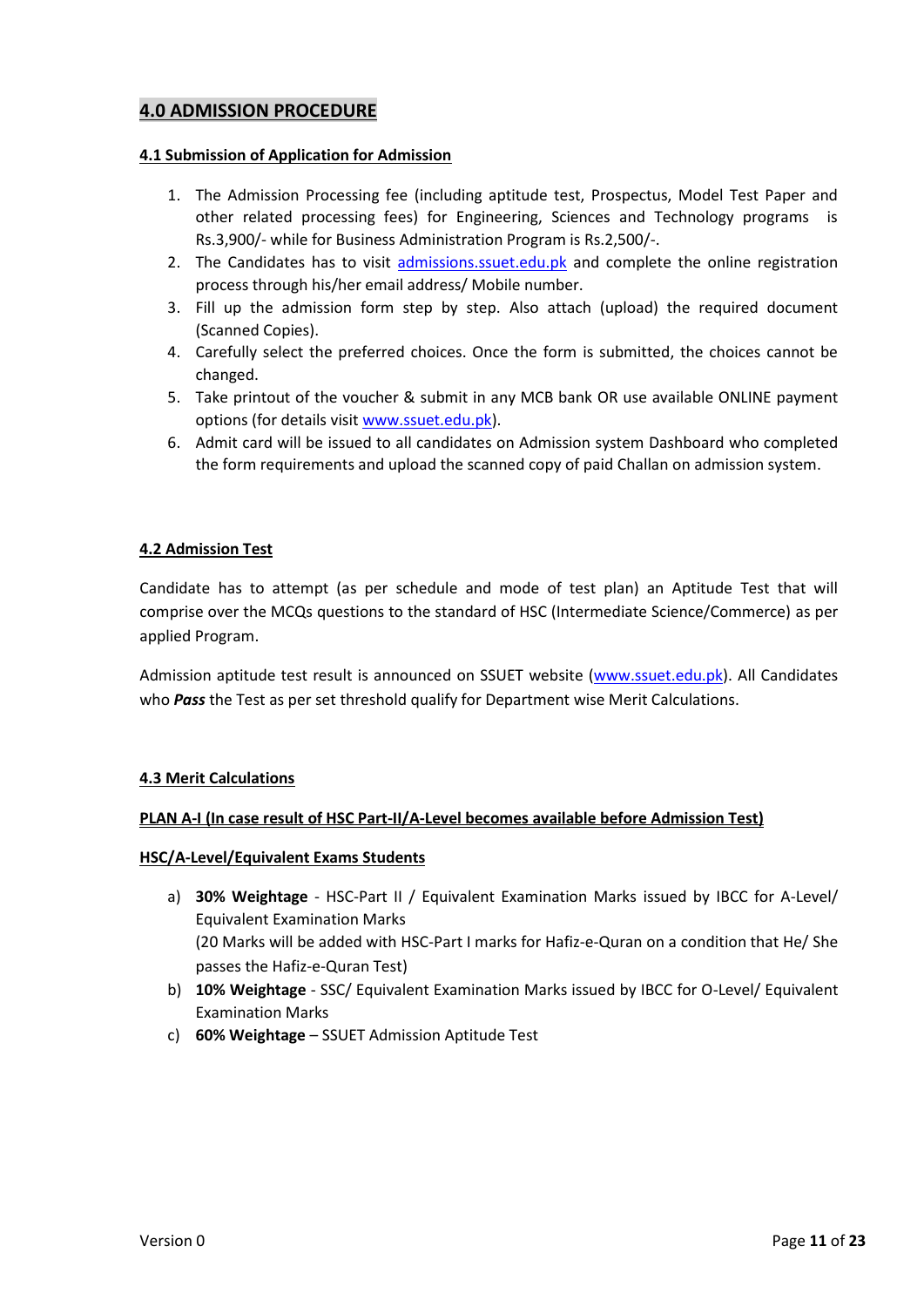## **4.0 ADMISSION PROCEDURE**

#### **4.1 Submission of Application for Admission**

- 1. The Admission Processing fee (including aptitude test, Prospectus, Model Test Paper and other related processing fees) for Engineering, Sciences and Technology programs is Rs.3,900/- while for Business Administration Program is Rs.2,500/-.
- 2. The Candidates has to visit admissions.ssuet.edu.pk and complete the online registration process through his/her email address/ Mobile number.
- 3. Fill up the admission form step by step. Also attach (upload) the required document (Scanned Copies).
- 4. Carefully select the preferred choices. Once the form is submitted, the choices cannot be changed.
- 5. Take printout of the voucher & submit in any MCB bank OR use available ONLINE payment options (for details visi[t www.ssuet.edu.pk\)](http://www.ssuet.edu.pk/).
- 6. Admit card will be issued to all candidates on Admission system Dashboard who completed the form requirements and upload the scanned copy of paid Challan on admission system.

#### **4.2 Admission Test**

Candidate has to attempt (as per schedule and mode of test plan) an Aptitude Test that will comprise over the MCQs questions to the standard of HSC (Intermediate Science/Commerce) as per applied Program.

Admission aptitude test result is announced on SSUET website [\(www.ssuet.edu.pk\)](http://www.ssuet.edu.pk/). All Candidates who *Pass* the Test as per set threshold qualify for Department wise Merit Calculations.

#### **4.3 Merit Calculations**

#### **PLAN A-I (In case result of HSC Part-II/A-Level becomes available before Admission Test)**

#### **HSC/A-Level/Equivalent Exams Students**

- a) **30% Weightage** HSC-Part II / Equivalent Examination Marks issued by IBCC for A-Level/ Equivalent Examination Marks (20 Marks will be added with HSC-Part I marks for Hafiz-e-Quran on a condition that He/ She passes the Hafiz-e-Quran Test)
- b) **10% Weightage** SSC/ Equivalent Examination Marks issued by IBCC for O-Level/ Equivalent Examination Marks
- c) **60% Weightage** SSUET Admission Aptitude Test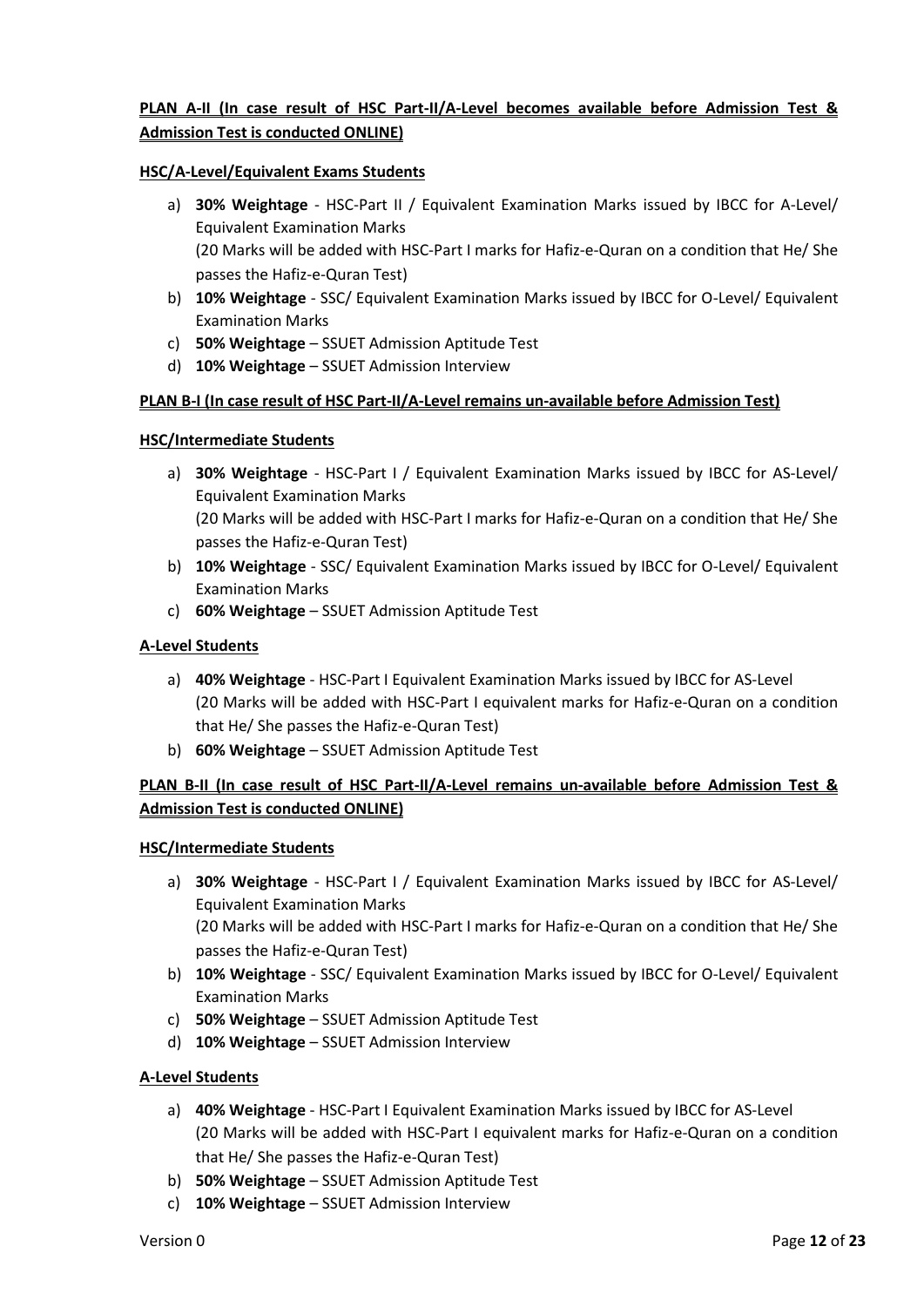## **PLAN A-II (In case result of HSC Part-II/A-Level becomes available before Admission Test & Admission Test is conducted ONLINE)**

#### **HSC/A-Level/Equivalent Exams Students**

- a) **30% Weightage** HSC-Part II / Equivalent Examination Marks issued by IBCC for A-Level/ Equivalent Examination Marks (20 Marks will be added with HSC-Part I marks for Hafiz-e-Quran on a condition that He/ She passes the Hafiz-e-Quran Test)
- b) **10% Weightage** SSC/ Equivalent Examination Marks issued by IBCC for O-Level/ Equivalent Examination Marks
- c) **50% Weightage** SSUET Admission Aptitude Test
- d) **10% Weightage** SSUET Admission Interview

#### **PLAN B-I (In case result of HSC Part-II/A-Level remains un-available before Admission Test)**

#### **HSC/Intermediate Students**

- a) **30% Weightage** HSC-Part I / Equivalent Examination Marks issued by IBCC for AS-Level/ Equivalent Examination Marks (20 Marks will be added with HSC-Part I marks for Hafiz-e-Quran on a condition that He/ She passes the Hafiz-e-Quran Test)
- b) **10% Weightage** SSC/ Equivalent Examination Marks issued by IBCC for O-Level/ Equivalent Examination Marks
- c) **60% Weightage** SSUET Admission Aptitude Test

#### **A-Level Students**

- a) **40% Weightage** HSC-Part I Equivalent Examination Marks issued by IBCC for AS-Level (20 Marks will be added with HSC-Part I equivalent marks for Hafiz-e-Quran on a condition that He/ She passes the Hafiz-e-Quran Test)
- b) **60% Weightage** SSUET Admission Aptitude Test

## **PLAN B-II (In case result of HSC Part-II/A-Level remains un-available before Admission Test & Admission Test is conducted ONLINE)**

#### **HSC/Intermediate Students**

- a) **30% Weightage** HSC-Part I / Equivalent Examination Marks issued by IBCC for AS-Level/ Equivalent Examination Marks (20 Marks will be added with HSC-Part I marks for Hafiz-e-Quran on a condition that He/ She passes the Hafiz-e-Quran Test)
- b) **10% Weightage** SSC/ Equivalent Examination Marks issued by IBCC for O-Level/ Equivalent Examination Marks
- c) **50% Weightage** SSUET Admission Aptitude Test
- d) **10% Weightage** SSUET Admission Interview

#### **A-Level Students**

- a) **40% Weightage** HSC-Part I Equivalent Examination Marks issued by IBCC for AS-Level (20 Marks will be added with HSC-Part I equivalent marks for Hafiz-e-Quran on a condition that He/ She passes the Hafiz-e-Quran Test)
- b) **50% Weightage** SSUET Admission Aptitude Test
- c) **10% Weightage** SSUET Admission Interview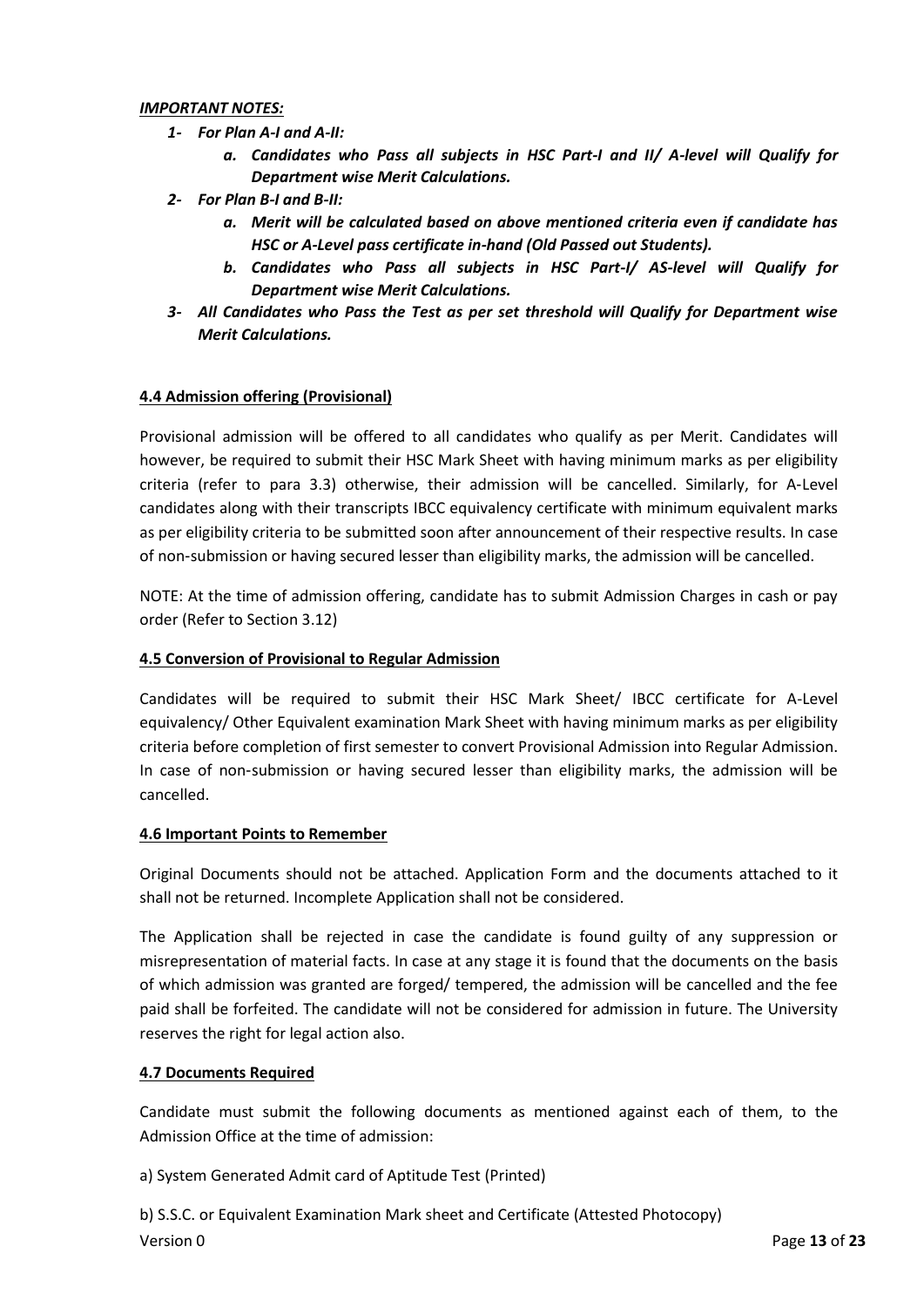#### *IMPORTANT NOTES:*

- *1- For Plan A-I and A-II:*
	- *a. Candidates who Pass all subjects in HSC Part-I and II/ A-level will Qualify for Department wise Merit Calculations.*
- *2- For Plan B-I and B-II:*
	- *a. Merit will be calculated based on above mentioned criteria even if candidate has HSC or A-Level pass certificate in-hand (Old Passed out Students).*
	- *b. Candidates who Pass all subjects in HSC Part-I/ AS-level will Qualify for Department wise Merit Calculations.*
- *3- All Candidates who Pass the Test as per set threshold will Qualify for Department wise Merit Calculations.*

## **4.4 Admission offering (Provisional)**

Provisional admission will be offered to all candidates who qualify as per Merit. Candidates will however, be required to submit their HSC Mark Sheet with having minimum marks as per eligibility criteria (refer to para 3.3) otherwise, their admission will be cancelled. Similarly, for A‐Level candidates along with their transcripts IBCC equivalency certificate with minimum equivalent marks as per eligibility criteria to be submitted soon after announcement of their respective results. In case of non‐submission or having secured lesser than eligibility marks, the admission will be cancelled.

NOTE: At the time of admission offering, candidate has to submit Admission Charges in cash or pay order (Refer to Section 3.12)

#### **4.5 Conversion of Provisional to Regular Admission**

Candidates will be required to submit their HSC Mark Sheet/ IBCC certificate for A-Level equivalency/ Other Equivalent examination Mark Sheet with having minimum marks as per eligibility criteria before completion of first semester to convert Provisional Admission into Regular Admission. In case of non-submission or having secured lesser than eligibility marks, the admission will be cancelled.

#### **4.6 Important Points to Remember**

Original Documents should not be attached. Application Form and the documents attached to it shall not be returned. Incomplete Application shall not be considered.

The Application shall be rejected in case the candidate is found guilty of any suppression or misrepresentation of material facts. In case at any stage it is found that the documents on the basis of which admission was granted are forged/ tempered, the admission will be cancelled and the fee paid shall be forfeited. The candidate will not be considered for admission in future. The University reserves the right for legal action also.

## **4.7 Documents Required**

Candidate must submit the following documents as mentioned against each of them, to the Admission Office at the time of admission:

a) System Generated Admit card of Aptitude Test (Printed)

Version 0 Page **13** of **23** b) S.S.C. or Equivalent Examination Mark sheet and Certificate (Attested Photocopy)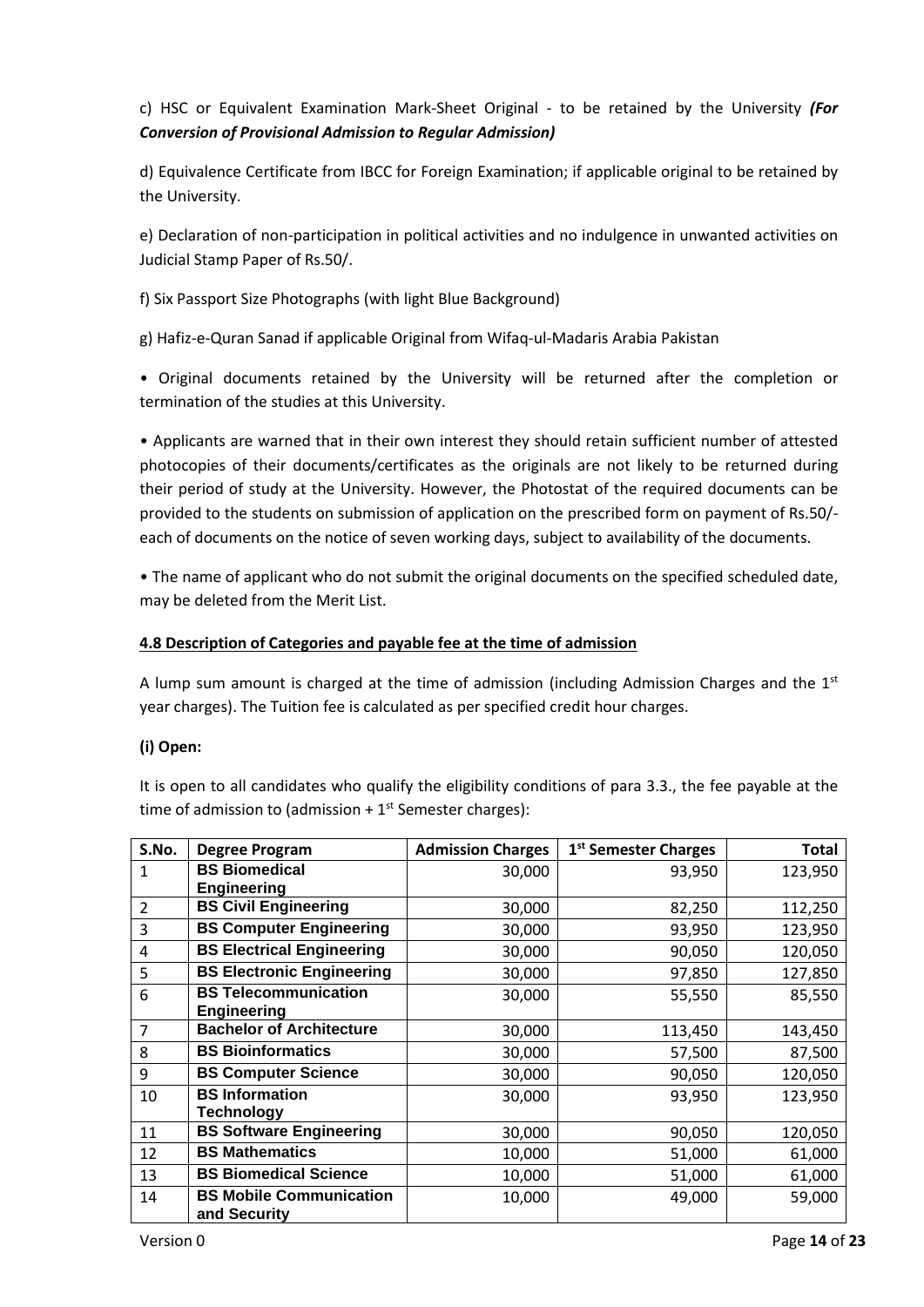c) HSC or Equivalent Examination Mark-Sheet Original - to be retained by the University *(For Conversion of Provisional Admission to Regular Admission)*

d) Equivalence Certificate from IBCC for Foreign Examination; if applicable original to be retained by the University.

e) Declaration of non-participation in political activities and no indulgence in unwanted activities on Judicial Stamp Paper of Rs.50/.

f) Six Passport Size Photographs (with light Blue Background)

g) Hafiz-e-Quran Sanad if applicable Original from Wifaq-ul-Madaris Arabia Pakistan

• Original documents retained by the University will be returned after the completion or termination of the studies at this University.

• Applicants are warned that in their own interest they should retain sufficient number of attested photocopies of their documents/certificates as the originals are not likely to be returned during their period of study at the University. However, the Photostat of the required documents can be provided to the students on submission of application on the prescribed form on payment of Rs.50/ each of documents on the notice of seven working days, subject to availability of the documents.

• The name of applicant who do not submit the original documents on the specified scheduled date, may be deleted from the Merit List.

#### **4.8 Description of Categories and payable fee at the time of admission**

A lump sum amount is charged at the time of admission (including Admission Charges and the  $1<sup>st</sup>$ year charges). The Tuition fee is calculated as per specified credit hour charges.

## **(i) Open:**

It is open to all candidates who qualify the eligibility conditions of para 3.3., the fee payable at the time of admission to (admission  $+1<sup>st</sup>$  Semester charges):

| S.No. | <b>Degree Program</b>                          | <b>Admission Charges</b> | 1 <sup>st</sup> Semester Charges | Total   |
|-------|------------------------------------------------|--------------------------|----------------------------------|---------|
| 1     | <b>BS Biomedical</b>                           | 30,000                   | 93,950                           | 123,950 |
|       | <b>Engineering</b>                             |                          |                                  |         |
| 2     | <b>BS Civil Engineering</b>                    | 30,000                   | 82,250                           | 112,250 |
| 3     | <b>BS Computer Engineering</b>                 | 30,000                   | 93,950                           | 123,950 |
| 4     | <b>BS Electrical Engineering</b>               | 30,000                   | 90,050                           | 120,050 |
| 5     | <b>BS Electronic Engineering</b>               | 30,000                   | 97,850                           | 127,850 |
| 6     | <b>BS Telecommunication</b>                    | 30,000                   | 55,550                           | 85,550  |
|       | <b>Engineering</b>                             |                          |                                  |         |
| 7     | <b>Bachelor of Architecture</b>                | 30,000                   | 113,450                          | 143,450 |
| 8     | <b>BS Bioinformatics</b>                       | 30,000                   | 57,500                           | 87,500  |
| 9     | <b>BS Computer Science</b>                     | 30,000                   | 90,050                           | 120,050 |
| 10    | <b>BS</b> Information                          | 30,000                   | 93,950                           | 123,950 |
|       | <b>Technology</b>                              |                          |                                  |         |
| 11    | <b>BS Software Engineering</b>                 | 30,000                   | 90,050                           | 120,050 |
| 12    | <b>BS Mathematics</b>                          | 10,000                   | 51,000                           | 61,000  |
| 13    | <b>BS Biomedical Science</b>                   | 10,000                   | 51,000                           | 61,000  |
| 14    | <b>BS Mobile Communication</b><br>and Security | 10,000                   | 49,000                           | 59,000  |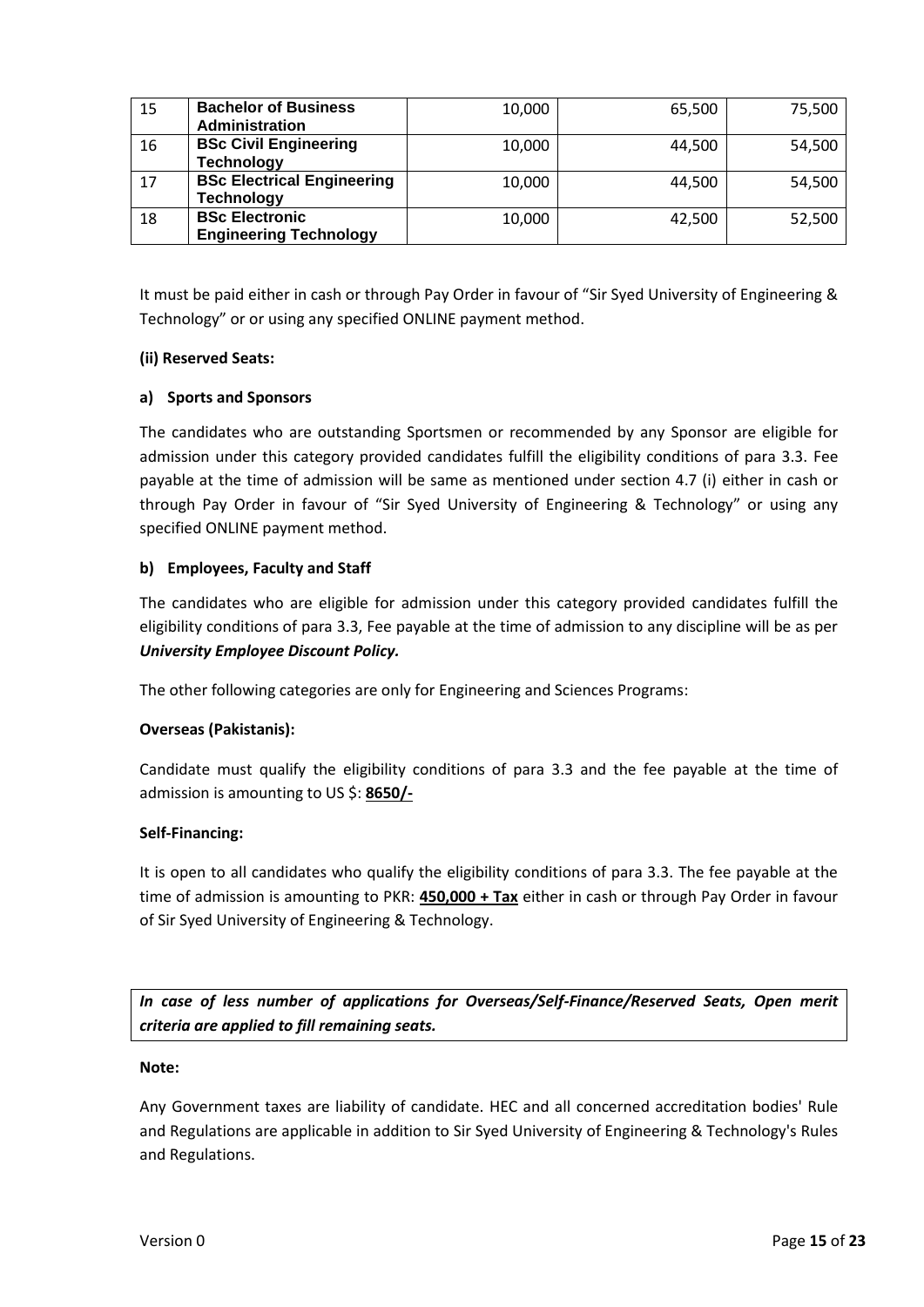| 15 | <b>Bachelor of Business</b>       | 10,000 | 65,500 | 75,500 |
|----|-----------------------------------|--------|--------|--------|
|    | Administration                    |        |        |        |
| 16 | <b>BSc Civil Engineering</b>      | 10,000 | 44,500 | 54,500 |
|    | <b>Technology</b>                 |        |        |        |
| 17 | <b>BSc Electrical Engineering</b> | 10,000 | 44,500 | 54,500 |
|    | <b>Technology</b>                 |        |        |        |
| 18 | <b>BSc Electronic</b>             | 10,000 | 42,500 | 52,500 |
|    | <b>Engineering Technology</b>     |        |        |        |

It must be paid either in cash or through Pay Order in favour of "Sir Syed University of Engineering & Technology" or or using any specified ONLINE payment method.

#### **(ii) Reserved Seats:**

#### **a) Sports and Sponsors**

The candidates who are outstanding Sportsmen or recommended by any Sponsor are eligible for admission under this category provided candidates fulfill the eligibility conditions of para 3.3. Fee payable at the time of admission will be same as mentioned under section 4.7 (i) either in cash or through Pay Order in favour of "Sir Syed University of Engineering & Technology" or using any specified ONLINE payment method.

#### **b) Employees, Faculty and Staff**

The candidates who are eligible for admission under this category provided candidates fulfill the eligibility conditions of para 3.3, Fee payable at the time of admission to any discipline will be as per *University Employee Discount Policy.*

The other following categories are only for Engineering and Sciences Programs:

## **Overseas (Pakistanis):**

Candidate must qualify the eligibility conditions of para 3.3 and the fee payable at the time of admission is amounting to US \$: **8650/-**

#### **Self-Financing:**

It is open to all candidates who qualify the eligibility conditions of para 3.3. The fee payable at the time of admission is amounting to PKR: **450,000 + Tax** either in cash or through Pay Order in favour of Sir Syed University of Engineering & Technology.

*In case of less number of applications for Overseas/Self-Finance/Reserved Seats, Open merit criteria are applied to fill remaining seats.* 

#### **Note:**

Any Government taxes are liability of candidate. HEC and all concerned accreditation bodies' Rule and Regulations are applicable in addition to Sir Syed University of Engineering & Technology's Rules and Regulations.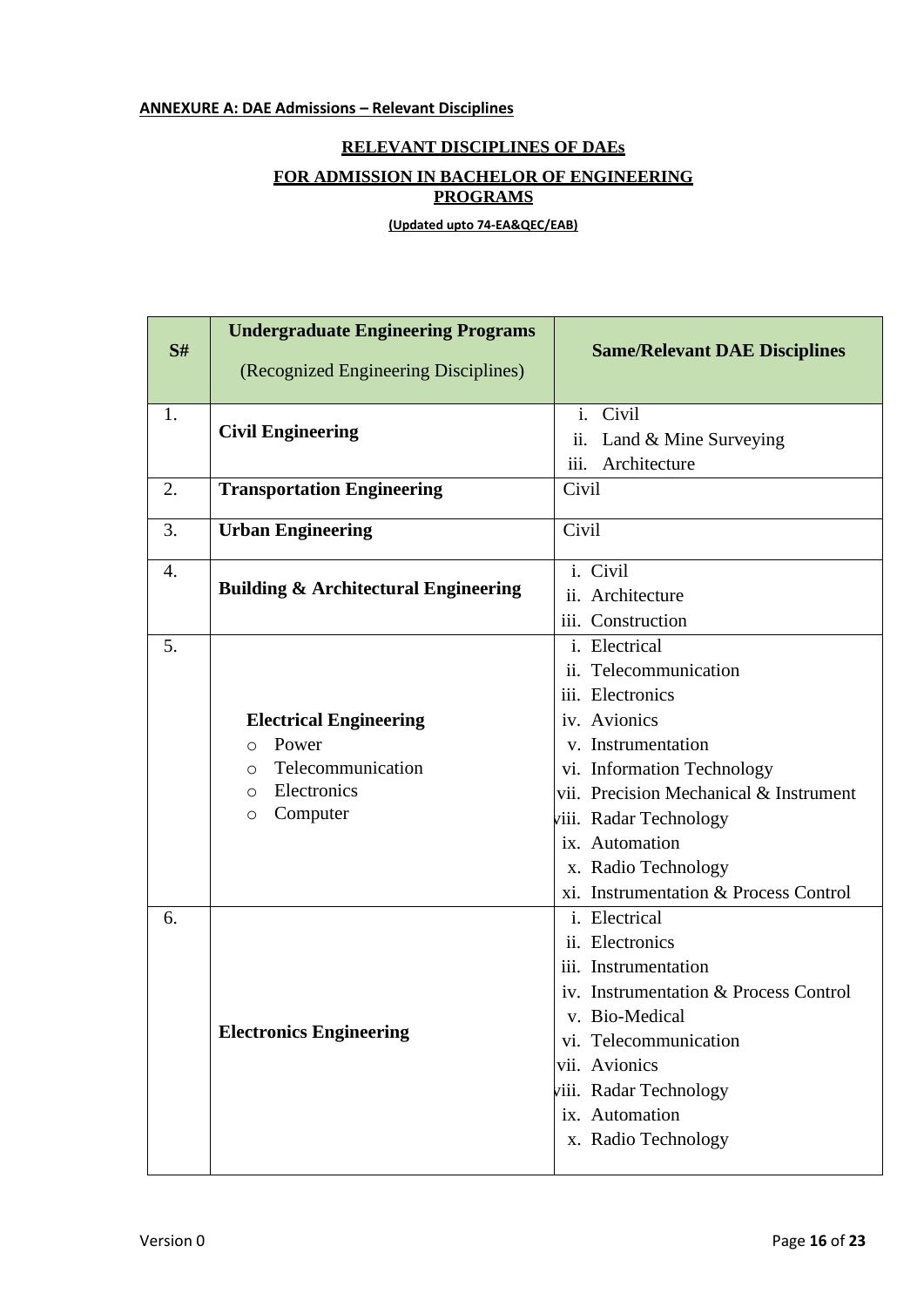## **RELEVANT DISCIPLINES OF DAEs**

## **FOR ADMISSION IN BACHELOR OF ENGINEERING PROGRAMS**

**(Updated upto 74-EA&QEC/EAB)**

| S# | <b>Undergraduate Engineering Programs</b><br>(Recognized Engineering Disciplines) | <b>Same/Relevant DAE Disciplines</b>   |  |  |  |
|----|-----------------------------------------------------------------------------------|----------------------------------------|--|--|--|
|    |                                                                                   |                                        |  |  |  |
| 1. | <b>Civil Engineering</b>                                                          | i. Civil                               |  |  |  |
|    |                                                                                   | Land & Mine Surveying<br>11.           |  |  |  |
|    |                                                                                   | iii.<br>Architecture                   |  |  |  |
| 2. | <b>Transportation Engineering</b>                                                 | Civil                                  |  |  |  |
| 3. | <b>Urban Engineering</b>                                                          | Civil                                  |  |  |  |
| 4. |                                                                                   | i. Civil                               |  |  |  |
|    | <b>Building &amp; Architectural Engineering</b>                                   | ii. Architecture                       |  |  |  |
|    |                                                                                   | iii. Construction                      |  |  |  |
| 5. |                                                                                   | i. Electrical                          |  |  |  |
|    |                                                                                   | ii. Telecommunication                  |  |  |  |
|    |                                                                                   | iii. Electronics                       |  |  |  |
|    | <b>Electrical Engineering</b>                                                     | iv. Avionics                           |  |  |  |
|    | Power<br>$\bigcirc$                                                               | v. Instrumentation                     |  |  |  |
|    | Telecommunication<br>$\circ$                                                      | vi. Information Technology             |  |  |  |
|    | Electronics<br>$\circ$                                                            | vii. Precision Mechanical & Instrument |  |  |  |
|    | Computer<br>$\circ$                                                               | viii. Radar Technology                 |  |  |  |
|    |                                                                                   | ix. Automation                         |  |  |  |
|    |                                                                                   | x. Radio Technology                    |  |  |  |
|    |                                                                                   | xi. Instrumentation & Process Control  |  |  |  |
| 6. |                                                                                   | i. Electrical                          |  |  |  |
|    |                                                                                   | ii. Electronics                        |  |  |  |
|    |                                                                                   | iii. Instrumentation                   |  |  |  |
|    |                                                                                   | iv. Instrumentation & Process Control  |  |  |  |
|    |                                                                                   | v. Bio-Medical                         |  |  |  |
|    | <b>Electronics Engineering</b>                                                    | vi. Telecommunication                  |  |  |  |
|    |                                                                                   | vii. Avionics                          |  |  |  |
|    |                                                                                   | viii. Radar Technology                 |  |  |  |
|    |                                                                                   | ix. Automation                         |  |  |  |
|    |                                                                                   | x. Radio Technology                    |  |  |  |
|    |                                                                                   |                                        |  |  |  |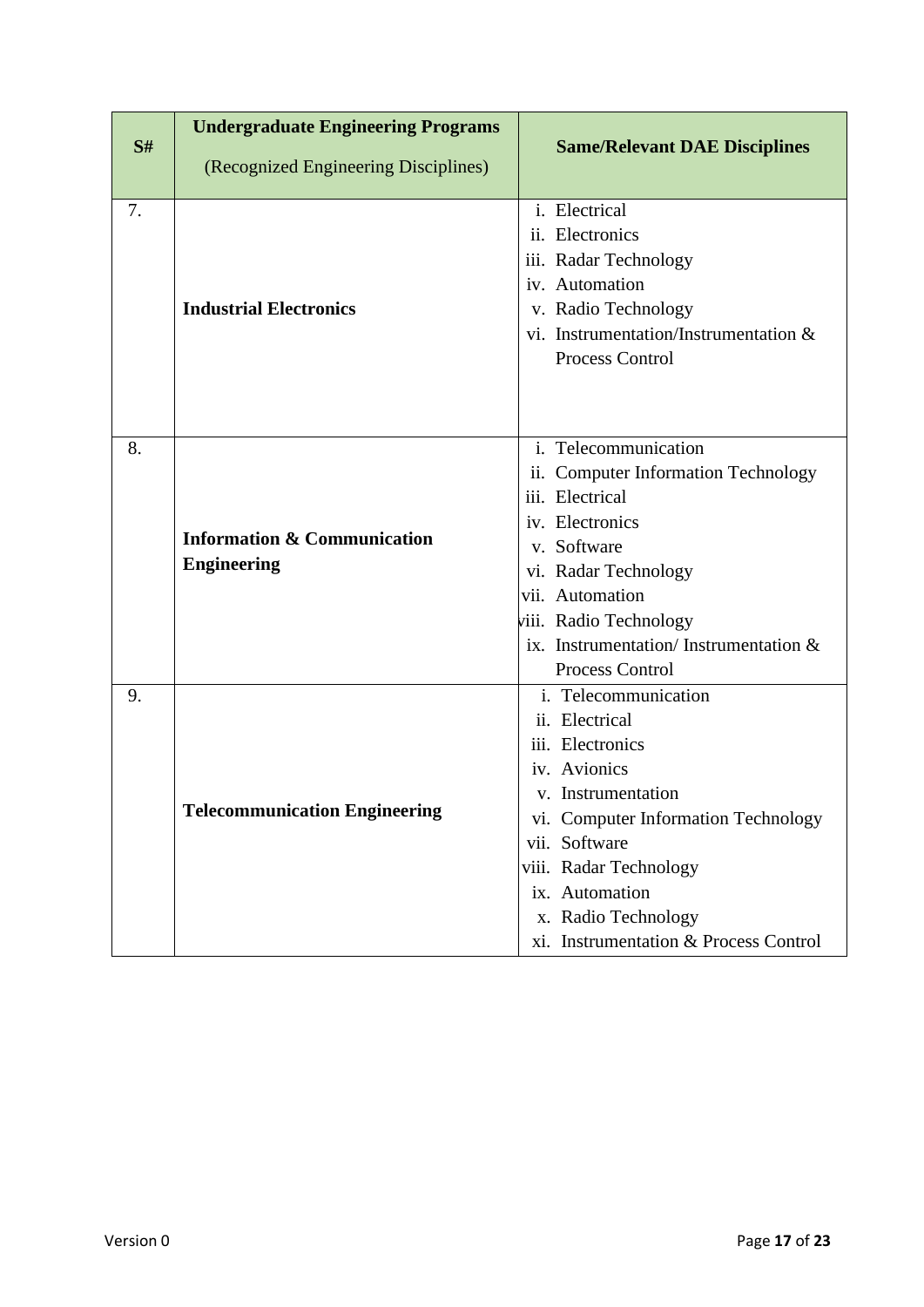|    | <b>Undergraduate Engineering Programs</b>                    |                                          |  |  |  |
|----|--------------------------------------------------------------|------------------------------------------|--|--|--|
| S# | (Recognized Engineering Disciplines)                         | <b>Same/Relevant DAE Disciplines</b>     |  |  |  |
|    |                                                              |                                          |  |  |  |
| 7. |                                                              | i. Electrical                            |  |  |  |
|    |                                                              | ii. Electronics                          |  |  |  |
|    |                                                              | iii. Radar Technology                    |  |  |  |
|    |                                                              | iv. Automation                           |  |  |  |
|    | <b>Industrial Electronics</b>                                | v. Radio Technology                      |  |  |  |
|    |                                                              | vi. Instrumentation/Instrumentation &    |  |  |  |
|    |                                                              | Process Control                          |  |  |  |
|    |                                                              |                                          |  |  |  |
|    |                                                              |                                          |  |  |  |
| 8. |                                                              | i. Telecommunication                     |  |  |  |
|    |                                                              | ii. Computer Information Technology      |  |  |  |
|    | <b>Information &amp; Communication</b><br><b>Engineering</b> | iii. Electrical                          |  |  |  |
|    |                                                              | iv. Electronics                          |  |  |  |
|    |                                                              | v. Software                              |  |  |  |
|    |                                                              | vi. Radar Technology                     |  |  |  |
|    |                                                              | vii. Automation                          |  |  |  |
|    |                                                              | viii. Radio Technology                   |  |  |  |
|    |                                                              | ix. Instrumentation/Instrumentation $\&$ |  |  |  |
|    |                                                              | Process Control                          |  |  |  |
| 9. |                                                              | i. Telecommunication                     |  |  |  |
|    |                                                              | ii. Electrical                           |  |  |  |
|    |                                                              | iii. Electronics                         |  |  |  |
|    |                                                              | iv. Avionics                             |  |  |  |
|    |                                                              | v. Instrumentation                       |  |  |  |
|    | <b>Telecommunication Engineering</b>                         | vi. Computer Information Technology      |  |  |  |
|    |                                                              | vii. Software                            |  |  |  |
|    |                                                              | viii. Radar Technology                   |  |  |  |
|    |                                                              | ix. Automation                           |  |  |  |
|    |                                                              | x. Radio Technology                      |  |  |  |
|    |                                                              | xi. Instrumentation & Process Control    |  |  |  |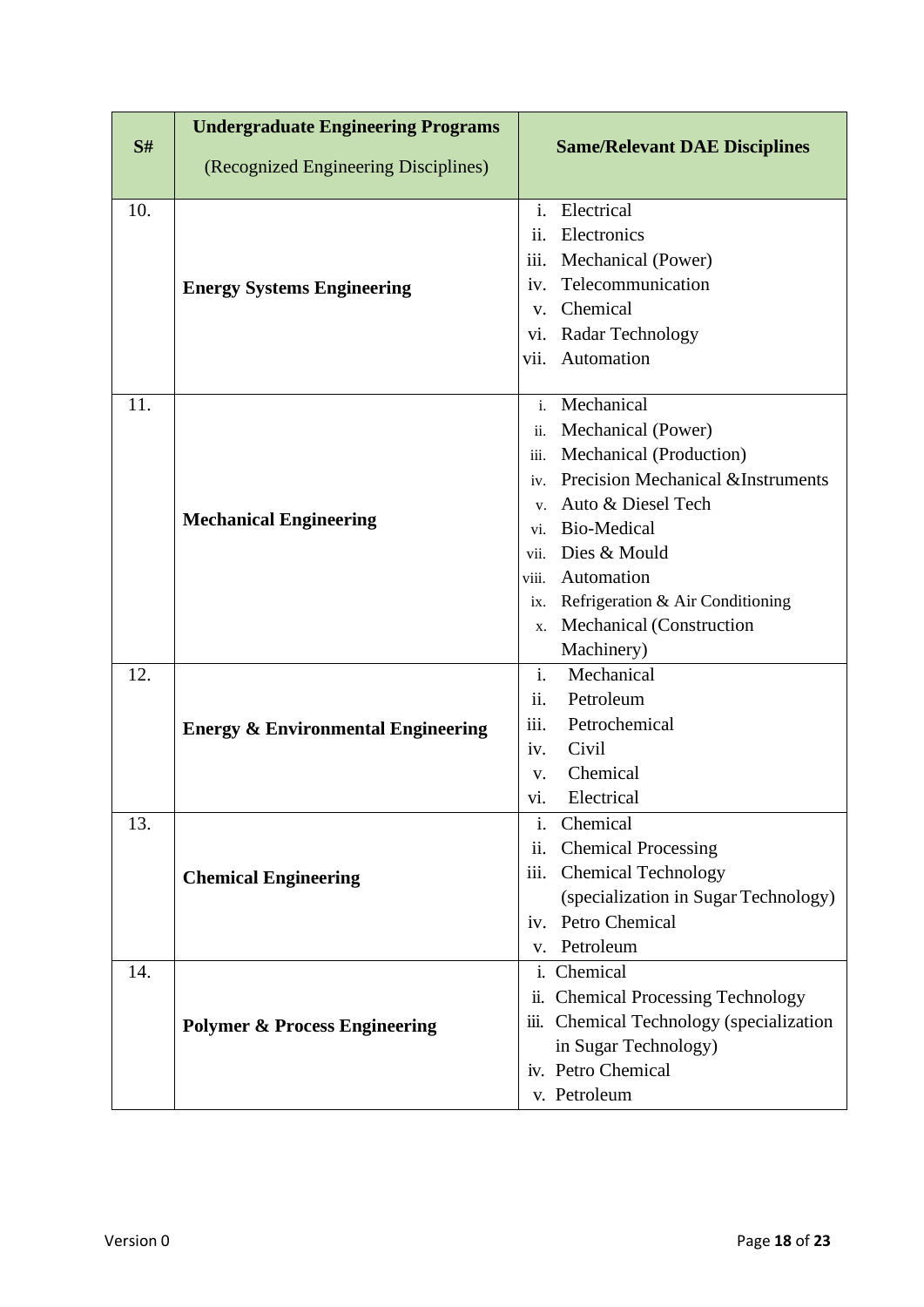|     | <b>Undergraduate Engineering Programs</b>     |                                                     |
|-----|-----------------------------------------------|-----------------------------------------------------|
| S#  | (Recognized Engineering Disciplines)          | <b>Same/Relevant DAE Disciplines</b>                |
| 10. |                                               | Electrical<br>$\mathbf{i}$ .                        |
|     |                                               | Electronics<br>11.                                  |
|     |                                               | Mechanical (Power)<br>iii.                          |
|     | <b>Energy Systems Engineering</b>             | Telecommunication<br>$\mathbf{iv}$ .                |
|     |                                               | Chemical<br>$V_{\star}$                             |
|     |                                               | Radar Technology<br>Vi.                             |
|     |                                               | Automation<br>vii.                                  |
| 11. |                                               | Mechanical<br>$\mathbf{i}$ .                        |
|     |                                               | Mechanical (Power)<br>ii.                           |
|     |                                               | Mechanical (Production)<br>iii.                     |
|     |                                               | <b>Precision Mechanical &amp;Instruments</b><br>iv. |
|     |                                               | Auto & Diesel Tech<br>$V_{\star}$                   |
|     | <b>Mechanical Engineering</b>                 | <b>Bio-Medical</b><br>vi.                           |
|     |                                               | Dies & Mould<br>vii.                                |
|     |                                               | Automation<br>viii.                                 |
|     |                                               | Refrigeration & Air Conditioning<br>ix.             |
|     |                                               | Mechanical (Construction<br>X.                      |
|     |                                               | Machinery)                                          |
| 12. |                                               | i.<br>Mechanical                                    |
|     |                                               | ii.<br>Petroleum                                    |
|     | <b>Energy &amp; Environmental Engineering</b> | Petrochemical<br>111.                               |
|     |                                               | Civil<br>1V.                                        |
|     |                                               | Chemical<br>v.                                      |
|     |                                               | Electrical<br>vi.                                   |
| 13. |                                               | Chemical<br>$\mathbf{i}$ .                          |
|     |                                               | <b>Chemical Processing</b><br>ii.                   |
|     | <b>Chemical Engineering</b>                   | <b>Chemical Technology</b><br>111.                  |
|     |                                               | (specialization in Sugar Technology)                |
|     |                                               | Petro Chemical<br>$1V_{\odot}$                      |
|     |                                               | Petroleum<br>V.                                     |
| 14. |                                               | i. Chemical                                         |
|     |                                               | ii. Chemical Processing Technology                  |
|     | <b>Polymer &amp; Process Engineering</b>      | iii. Chemical Technology (specialization            |
|     |                                               | in Sugar Technology)<br>iv. Petro Chemical          |
|     |                                               | v. Petroleum                                        |
|     |                                               |                                                     |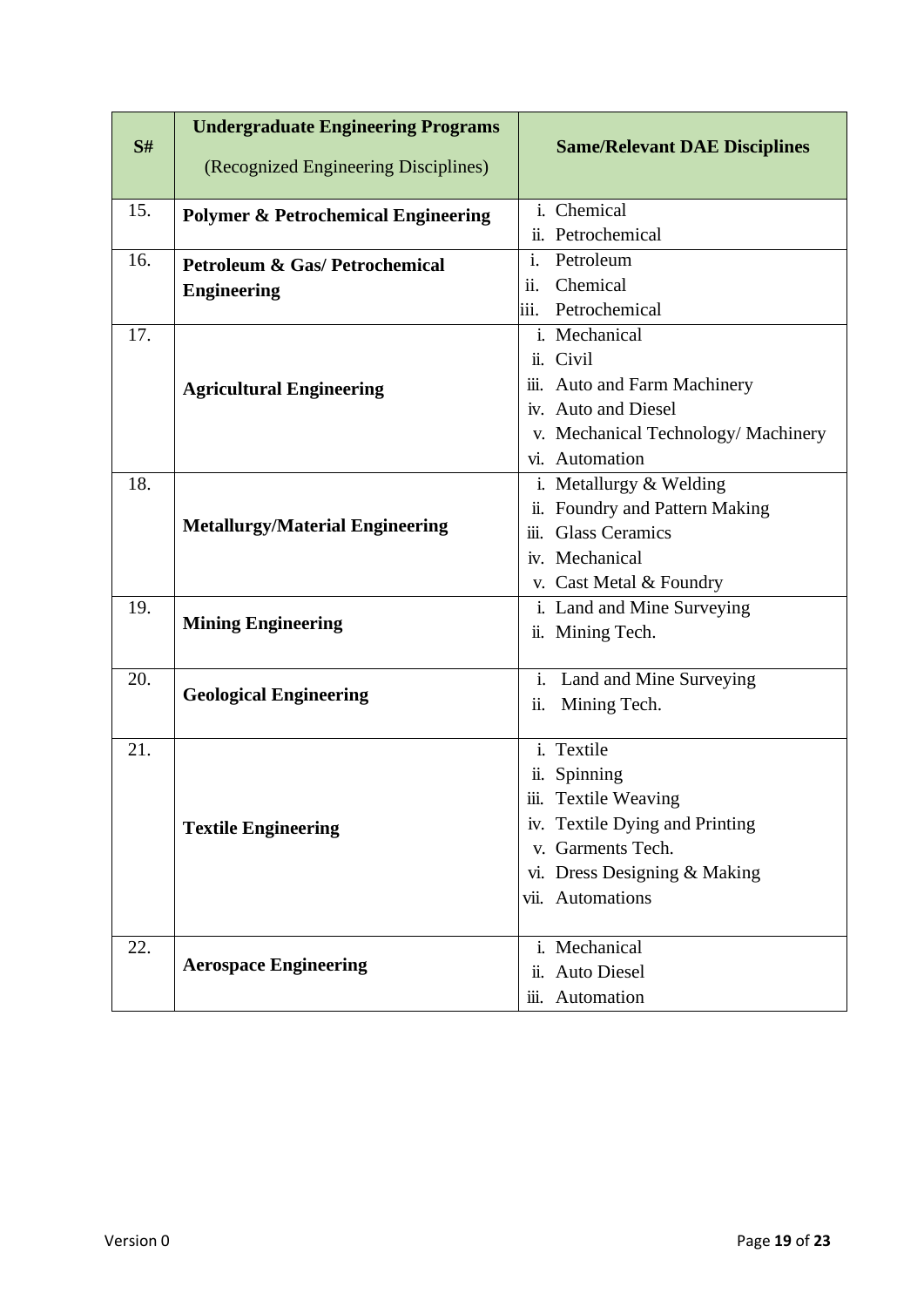| S#  | <b>Undergraduate Engineering Programs</b>      | <b>Same/Relevant DAE Disciplines</b>                 |  |  |  |
|-----|------------------------------------------------|------------------------------------------------------|--|--|--|
|     | (Recognized Engineering Disciplines)           |                                                      |  |  |  |
| 15. | <b>Polymer &amp; Petrochemical Engineering</b> | i. Chemical                                          |  |  |  |
|     |                                                | ii. Petrochemical                                    |  |  |  |
| 16. | <b>Petroleum &amp; Gas/Petrochemical</b>       | $\mathbf{i}$ .<br>Petroleum                          |  |  |  |
|     | <b>Engineering</b>                             | Chemical<br>$\overline{\mathbf{11}}$ .               |  |  |  |
|     |                                                | iii. Petrochemical                                   |  |  |  |
| 17. |                                                | i. Mechanical                                        |  |  |  |
|     |                                                | ii. Civil                                            |  |  |  |
|     | <b>Agricultural Engineering</b>                | iii. Auto and Farm Machinery                         |  |  |  |
|     |                                                | iv. Auto and Diesel                                  |  |  |  |
|     |                                                | v. Mechanical Technology/ Machinery                  |  |  |  |
|     |                                                | vi. Automation                                       |  |  |  |
| 18. |                                                | i. Metallurgy & Welding                              |  |  |  |
|     |                                                | Foundry and Pattern Making<br>$\ddot{\mathbf{11}}$ . |  |  |  |
|     | <b>Metallurgy/Material Engineering</b>         | <b>Glass Ceramics</b><br>iii.                        |  |  |  |
|     |                                                | iv. Mechanical                                       |  |  |  |
|     |                                                | v. Cast Metal & Foundry                              |  |  |  |
| 19. |                                                | i. Land and Mine Surveying                           |  |  |  |
|     | <b>Mining Engineering</b>                      | ii. Mining Tech.                                     |  |  |  |
|     |                                                |                                                      |  |  |  |
| 20. | <b>Geological Engineering</b>                  | i.<br>Land and Mine Surveying                        |  |  |  |
|     |                                                | Mining Tech.<br>ii.                                  |  |  |  |
| 21. |                                                | i. Textile                                           |  |  |  |
|     |                                                | Spinning<br>ii.                                      |  |  |  |
|     |                                                | iii.<br><b>Textile Weaving</b>                       |  |  |  |
|     | <b>Textile Engineering</b>                     | iv. Textile Dying and Printing                       |  |  |  |
|     |                                                | v. Garments Tech.                                    |  |  |  |
|     |                                                | vi. Dress Designing & Making                         |  |  |  |
|     |                                                | vii. Automations                                     |  |  |  |
|     |                                                |                                                      |  |  |  |
| 22. |                                                | i. Mechanical                                        |  |  |  |
|     | <b>Aerospace Engineering</b>                   | <b>Auto Diesel</b><br>$\ddot{\mathbf{n}}$ .          |  |  |  |
|     |                                                | iii. Automation                                      |  |  |  |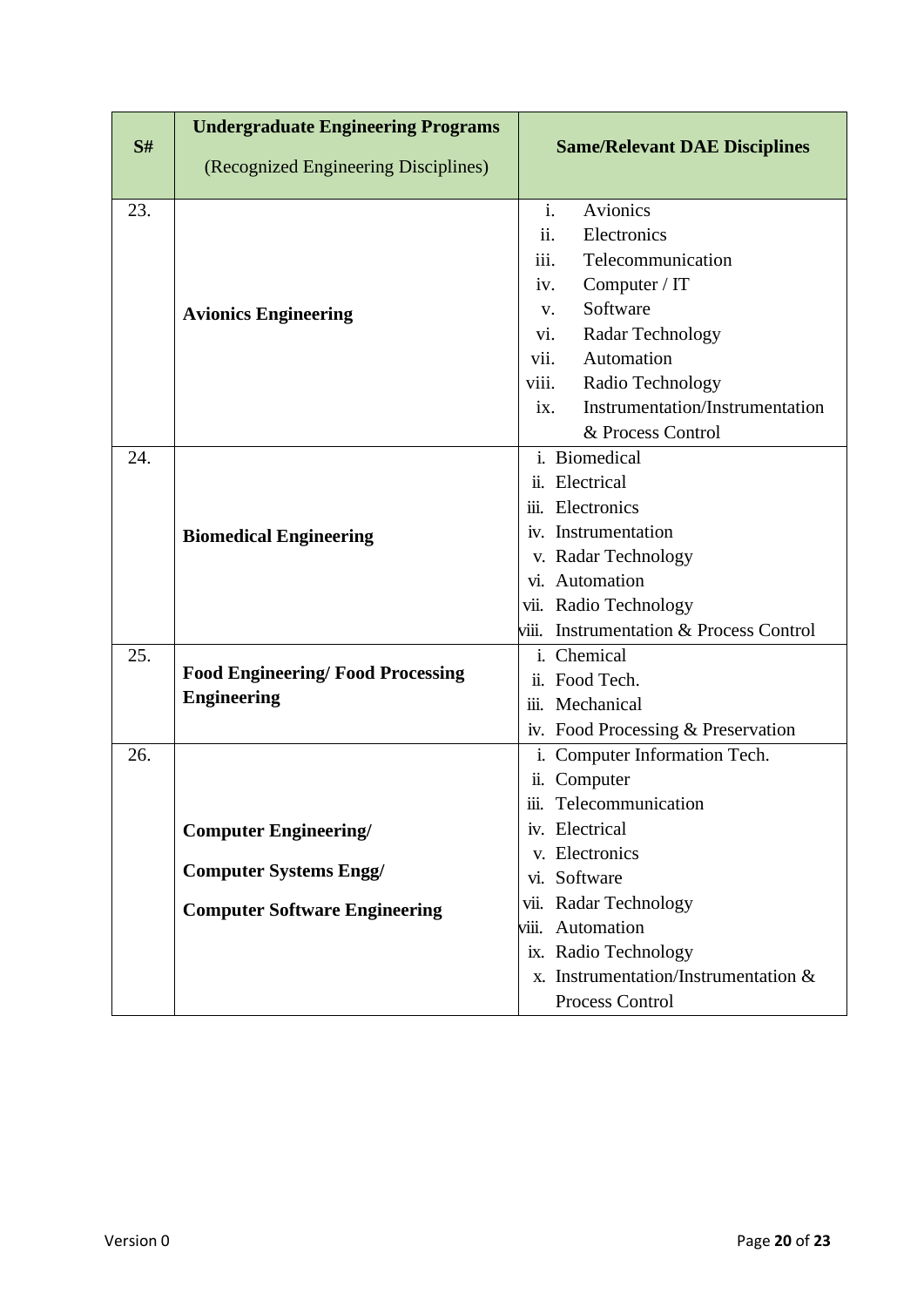|     | <b>Undergraduate Engineering Programs</b> |                                                       |  |  |
|-----|-------------------------------------------|-------------------------------------------------------|--|--|
| S#  | (Recognized Engineering Disciplines)      | <b>Same/Relevant DAE Disciplines</b>                  |  |  |
| 23. |                                           | i.<br>Avionics                                        |  |  |
|     |                                           |                                                       |  |  |
|     |                                           | ii.<br>Electronics                                    |  |  |
|     |                                           | iii.<br>Telecommunication                             |  |  |
|     |                                           | Computer / IT<br>iv.                                  |  |  |
|     | <b>Avionics Engineering</b>               | Software<br>V.                                        |  |  |
|     |                                           | Radar Technology<br>vi.                               |  |  |
|     |                                           | Automation<br>vii.                                    |  |  |
|     |                                           | Radio Technology<br>viii.                             |  |  |
|     |                                           | Instrumentation/Instrumentation<br>ix.                |  |  |
|     |                                           | & Process Control                                     |  |  |
| 24. |                                           | $\overline{i}$ . Biomedical                           |  |  |
|     |                                           | ii. Electrical                                        |  |  |
|     | <b>Biomedical Engineering</b>             | iii. Electronics                                      |  |  |
|     |                                           | iv. Instrumentation                                   |  |  |
|     |                                           | v. Radar Technology                                   |  |  |
|     |                                           | vi. Automation                                        |  |  |
|     |                                           | vii. Radio Technology                                 |  |  |
|     |                                           | <b>Instrumentation &amp; Process Control</b><br>viii. |  |  |
| 25. |                                           | i. Chemical                                           |  |  |
|     | <b>Food Engineering/Food Processing</b>   | ii. Food Tech.                                        |  |  |
|     | <b>Engineering</b>                        | iii. Mechanical                                       |  |  |
|     |                                           | iv. Food Processing & Preservation                    |  |  |
| 26. |                                           | i. Computer Information Tech.                         |  |  |
|     |                                           | ii. Computer                                          |  |  |
|     |                                           | iii. Telecommunication                                |  |  |
|     | <b>Computer Engineering/</b>              | iv. Electrical                                        |  |  |
|     |                                           | v. Electronics                                        |  |  |
|     | <b>Computer Systems Engg/</b>             | vi. Software                                          |  |  |
|     | <b>Computer Software Engineering</b>      | vii. Radar Technology                                 |  |  |
|     |                                           | Automation<br>viii.                                   |  |  |
|     |                                           | ix. Radio Technology                                  |  |  |
|     |                                           | x. Instrumentation/Instrumentation $\&$               |  |  |
|     |                                           | Process Control                                       |  |  |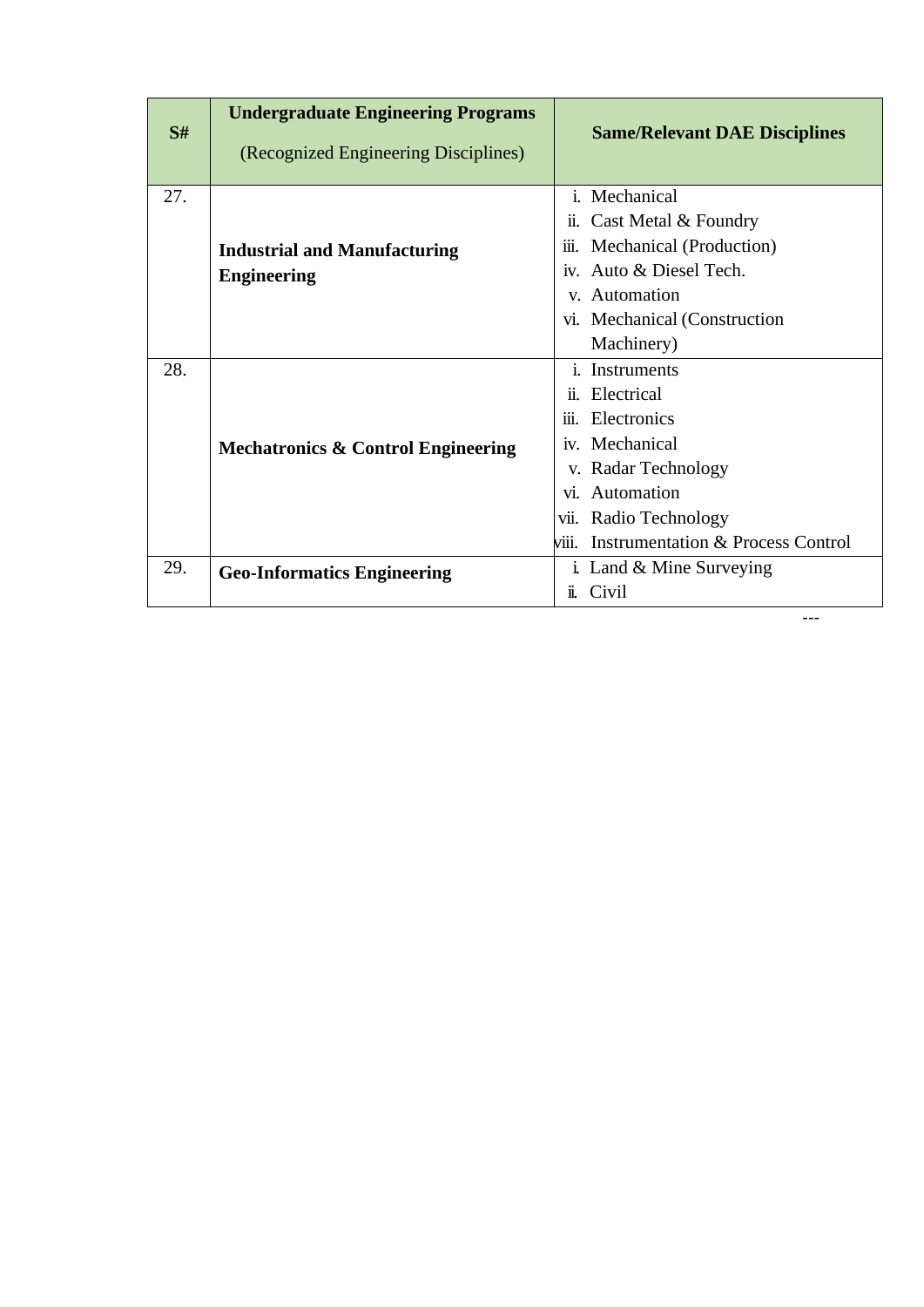| S#  | <b>Undergraduate Engineering Programs</b><br>(Recognized Engineering Disciplines) | <b>Same/Relevant DAE Disciplines</b>                  |  |  |
|-----|-----------------------------------------------------------------------------------|-------------------------------------------------------|--|--|
| 27. |                                                                                   | i. Mechanical                                         |  |  |
|     |                                                                                   | Cast Metal & Foundry<br>11.                           |  |  |
|     | <b>Industrial and Manufacturing</b>                                               | Mechanical (Production)<br>111.                       |  |  |
|     | <b>Engineering</b>                                                                | iv. Auto & Diesel Tech.                               |  |  |
|     |                                                                                   | v. Automation                                         |  |  |
|     |                                                                                   | vi. Mechanical (Construction                          |  |  |
|     |                                                                                   | Machinery)                                            |  |  |
| 28. |                                                                                   | <i>i</i> . Instruments                                |  |  |
|     |                                                                                   | ii. Electrical                                        |  |  |
|     |                                                                                   | iii. Electronics                                      |  |  |
|     | <b>Mechatronics &amp; Control Engineering</b>                                     | iv. Mechanical                                        |  |  |
|     |                                                                                   | v. Radar Technology                                   |  |  |
|     |                                                                                   | vi. Automation                                        |  |  |
|     |                                                                                   | vii. Radio Technology                                 |  |  |
|     |                                                                                   | <b>Instrumentation &amp; Process Control</b><br>viii. |  |  |
| 29. | <b>Geo-Informatics Engineering</b>                                                | i. Land $&$ Mine Surveying                            |  |  |
|     |                                                                                   | Civil<br>ÏĹ.                                          |  |  |

---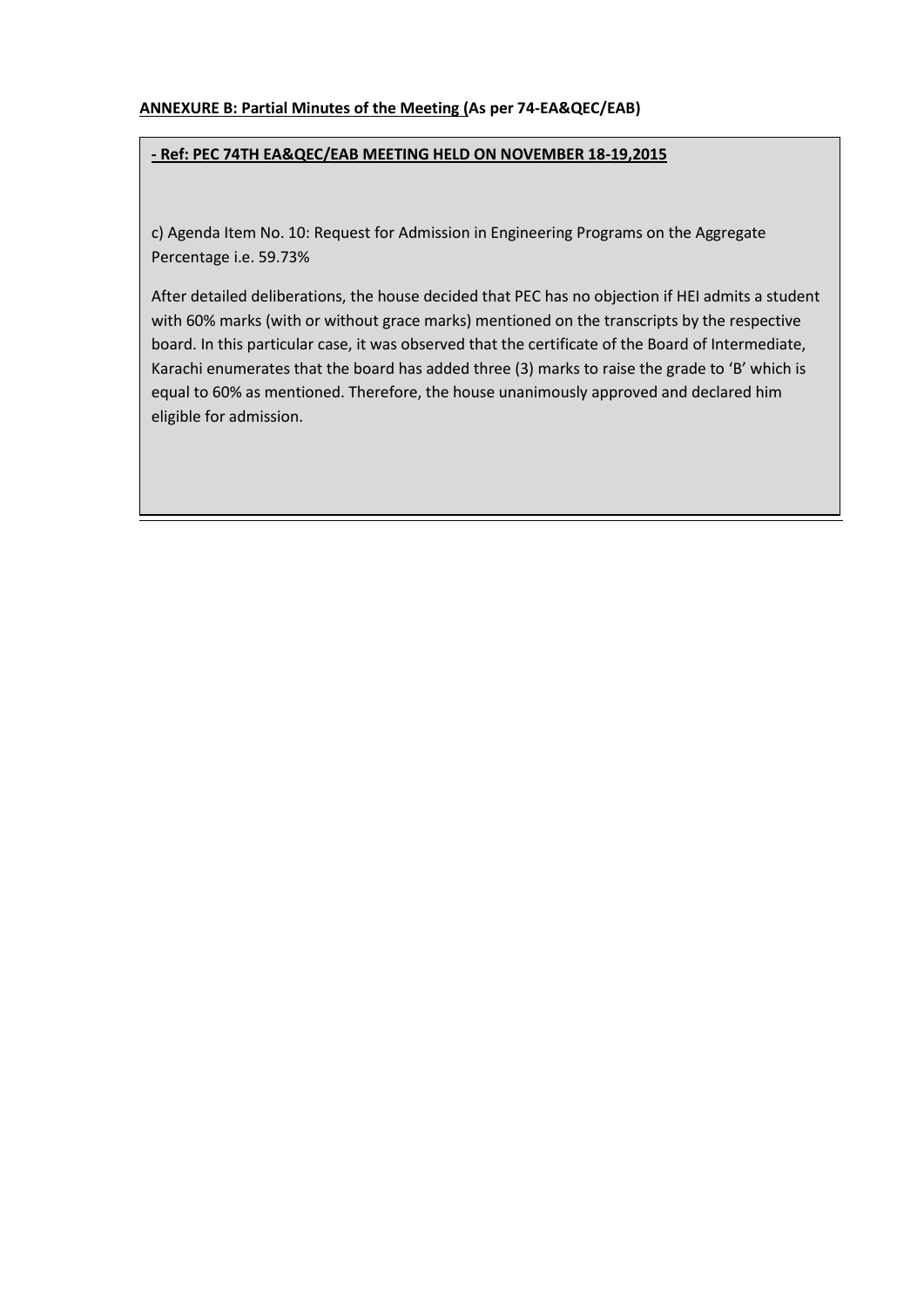#### **ANNEXURE B: Partial Minutes of the Meeting (As per 74-EA&QEC/EAB)**

#### **- Ref: PEC 74TH EA&QEC/EAB MEETING HELD ON NOVEMBER 18-19,2015**

c) Agenda Item No. 10: Request for Admission in Engineering Programs on the Aggregate Percentage i.e. 59.73%

After detailed deliberations, the house decided that PEC has no objection if HEI admits a student with 60% marks (with or without grace marks) mentioned on the transcripts by the respective board. In this particular case, it was observed that the certificate of the Board of Intermediate, Karachi enumerates that the board has added three (3) marks to raise the grade to 'B' which is equal to 60% as mentioned. Therefore, the house unanimously approved and declared him eligible for admission.